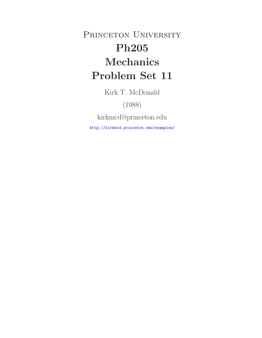PRINCETON UNIVERSITY **Ph205 Problem Set 11 Problem Set 11** 

Kirk T. McDonald

(1988)

kirkmcd@princeton.edu

http://kirkmcd.princeton.edu/examples/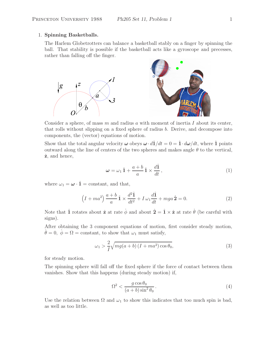#### 1. **Spinning Basketballs.**

The Harlem Globetrotters can balance a basketball stably on a finger by spinning the ball. That stability is possible if the basketball acts like a gyroscope and precesses, rather than falling off the finger.



Consider a sphere, of mass  $m$  and radius  $a$  with moment of inertia  $I$  about its center, that rolls without slipping on a fixed sphere of radius b. Derive, and decompose into components, the (vector) equations of motion.

Show that the total angular velocity  $\omega$  obeys  $\omega \cdot d\hat{1}/dt = 0 = \hat{1} \cdot d\omega/dt$ , where  $\hat{1}$  points outward along the line of centers of the two spheres and makes angle  $\theta$  to the vertical, <sup>ˆ</sup>**z**, and hence,

$$
\omega = \omega_1 \hat{1} + \frac{a+b}{a} \hat{1} \times \frac{d\hat{1}}{dt}, \qquad (1)
$$

where  $\omega_1 = \boldsymbol{\omega} \cdot \hat{\mathbf{1}}$  = constant, and that,

$$
\left(I + ma^2\right)\frac{a+b}{a}\hat{1} \times \frac{d^2\hat{1}}{dt^2} + I\,\omega_1\frac{d\hat{1}}{dt} + mga\,\hat{2} = 0.\tag{2}
$$

Note that  $\hat{\mathbf{1}}$  rotates about  $\hat{\mathbf{z}}$  at rate  $\dot{\phi}$  and about  $\hat{\mathbf{2}} = \hat{\mathbf{1}} \times \hat{\mathbf{z}}$  at rate  $\dot{\theta}$  (be careful with signs).

After obtaining the 3 component equations of motion, first consider steady motion,  $\dot{\theta} = 0, \dot{\phi} = \Omega = \text{constant}, \text{ to show that } \omega_1 \text{ must satisfy},$ 

$$
\omega_1 > \frac{2}{I} \sqrt{mg(a+b)\left(I + ma^2\right)\cos\theta_0},\tag{3}
$$

for steady motion.

The spinning sphere will fall off the fixed sphere if the force of contact between them vanishes. Show that this happens (during steady motion) if,

$$
\Omega^2 < \frac{g \cos \theta_0}{(a+b)\sin^2 \theta_0} \,. \tag{4}
$$

Use the relation between  $\Omega$  and  $\omega_1$  to show this indicates that too much spin is bad, as well as too little.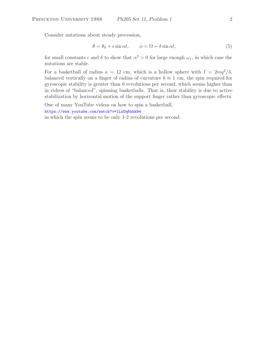Consider nutations about steady precession,

$$
\theta = \theta_0 + \epsilon \sin \alpha t, \qquad \dot{\phi} = \Omega + \delta \sin \alpha t, \tag{5}
$$

for small constants  $\epsilon$  and  $\delta$  to show that  $\alpha^2 > 0$  for large enough  $\omega_1$ , in which case the nutations are stable.

For a basketball of radius  $a = 12$  cm, which is a hollow sphere with  $I = 2mq^2/3$ , balanced vertically on a finger of radius of curvature  $b \approx 1$  cm, the spin required for gyroscopic stability is greater than 6 revolutions per second, which seems higher than in videos of "balanced", spinning basketballs. That is, their stability is due to active stabilization by horizontal motion of the support finger rather than gyroscopic effects.

One of many YouTube videos on how to spin a basketball,

https://www.youtube.com/watch?v=lLxUq6nhkb4

in which the spin seems to be only 1-2 revolutions per second.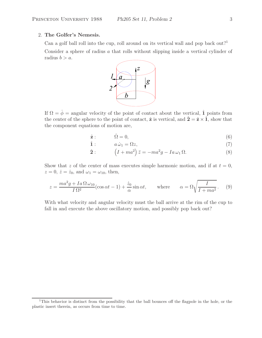## 2. **The Golfer's Nemesis.**

Can a golf ball roll into the cup, roll around on its vertical wall and pop back out?<sup>1</sup>

Consider a sphere of radius a that rolls without slipping inside a vertical cylinder of radius  $b>a$ .



If  $\Omega = \dot{\phi} =$  angular velocity of the point of contact about the vertical,  $\hat{1}$  points from the center of the sphere to the point of contact,  $\hat{\mathbf{z}}$  is vertical, and  $\hat{\mathbf{2}} = \hat{\mathbf{z}} \times \hat{\mathbf{1}}$ , show that the component equations of motion are,

$$
\hat{\mathbf{z}} : \qquad \dot{\Omega} = 0,\tag{6}
$$

$$
\hat{\mathbf{1}}: \qquad a\,\dot{\omega}_1 = \Omega z,\tag{7}
$$

$$
\hat{\mathbf{2}}: \qquad \left(I + ma^2\right)\ddot{z} = -ma^2g - Ia\,\omega_1\,\Omega. \tag{8}
$$

Show that z of the center of mass executes simple harmonic motion, and if at  $t = 0$ ,  $z = 0, \, \dot{z} = \dot{z}_0, \text{ and } \omega_1 = \omega_{10}, \text{ then,}$ 

$$
z = \frac{ma^2g + Ia\,\Omega\,\omega_{10}}{I\,\Omega^2}(\cos\alpha t - 1) + \frac{\dot{z}_0}{\alpha}\sin\alpha t, \qquad \text{where} \qquad \alpha = \Omega\sqrt{\frac{I}{I + ma^2}}. \tag{9}
$$

With what velocity and angular velocity must the ball arrive at the rim of the cup to fall in and execute the above oscillatory motion, and possibly pop back out?

<sup>&</sup>lt;sup>1</sup>This behavior is distinct from the possibility that the ball bounces off the flagpole in the hole, or the plastic insert therein, as occurs from time to time.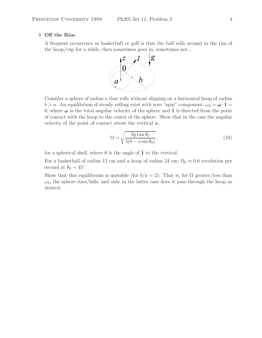#### 3. **Off the Rim.**

A frequent occurrence in basketball or golf is that the ball rolls around in the rim of the hoop/cup for a while, then sometimes goes in, sometimes not...



Consider a sphere of radius  $a$  that rolls without slipping on a horizontal hoop of radius  $b > a$ . An equilibrium of steady rolling exist with zero "spin" component,  $\omega_0 = \boldsymbol{\omega} \cdot \hat{\mathbf{1}} =$ 0, where  $\omega$  is the total angular velocity of the sphere and  $\hat{1}$  is directed from the point of contact with the hoop to the center of the sphere. Show that in the case the angular velocity of the point of contact about the vertical is,

$$
\Omega = \sqrt{\frac{3g \tan \theta_0}{5(b - a \sin \theta_0)}},\tag{10}
$$

for a spherical shell, where  $\theta$  is the angle of  $\hat{1}$  to the vertical.

For a basketball of radius 12 cm and a hoop of radius 24 cm,  $\Omega_0 \approx 0.6$  revolution per second at  $\theta_0 = 45^\circ$ .

Show that this equilibrium is unstable (for  $b/a = 2$ ). That is, for  $\Omega$  greater/less than  $\omega_0$ , the sphere rises/falls, and only in the latter case does it pass through the hoop as desired.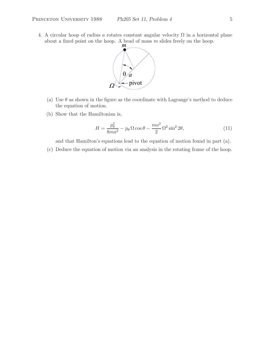4. A circular hoop of radius a rotates constant angular velocity  $\Omega$  in a horizontal plane about a fixed point on the hoop. A bead of mass  $m$  slides freely on the hoop.



- (a) Use  $\theta$  as shown in the figure as the coordinate with Lagrange's method to deduce the equation of motion.
- (b) Show that the Hamiltonian is,

$$
H = \frac{p_{\theta}^2}{8ma^2} - p_{\theta} \Omega \cos \theta - \frac{ma^2}{2} \Omega^2 \sin^2 2\theta, \qquad (11)
$$

and that Hamilton's equations lead to the equation of motion found in part (a).

(c) Deduce the equation of motion via an analysis in the rotating frame of the hoop.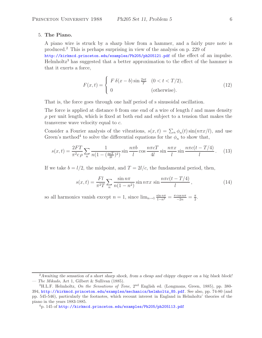## 5. **The Piano.**

A piano wire is struck by a sharp blow from a hammer, and a fairly pure note is produced.<sup>2</sup> This is perhaps surprising in view of the analysis on p. 229 of

http://kirkmcd.princeton.edu/examples/Ph205/ph205l21.pdf of the effect of an impulse. Helmholtz<sup>3</sup> has suggested that a better approximation to the effect of the hammer is that it exerts a force,

$$
F(x,t) = \begin{cases} F \delta(x-b) \sin \frac{2\pi t}{T} & (0 < t < T/2), \\ 0 & \text{(otherwise)}. \end{cases}
$$
(12)

That is, the force goes through one half period of s sinusoidal oscillation.

The force is applied at distance b from one end of a wire of length  $l$  and mass density  $\rho$  per unit length, which is fixed at both end and subject to a tension that makes the transverse wave velocity equal to c.

Consider a Fourier analysis of the vibrations,  $s(x,t) = \sum_n \phi_n(t) \sin(n\pi x/l)$ , and use Green's method<sup>4</sup> to solve the differential equations for the  $\phi_n$  to show that,

$$
s(x,t) = \frac{2FT}{\pi^2 c \rho} \sum_{n} \frac{1}{n(1 - (\frac{ncT}{2l})^2)} \sin \frac{n\pi b}{l} \cos \frac{n\pi c}{l} \sin \frac{n\pi x}{l} \sin \frac{n\pi c(t - T/4)}{l}.
$$
 (13)

If we take  $b = l/2$ , the midpoint, and  $T = 2l/c$ , the fundamental period, then,

$$
s(x,t) = \frac{Fl}{\pi^2 T} \sum_{n} \frac{\sin n\pi}{n(1-n^2)} \sin n\pi x \sin \frac{n\pi c(t-T/4)}{l},
$$
 (14)

so all harmonics vanish except  $n = 1$ , since  $\lim_{n \to 1} \frac{\sin n\pi}{1 - n^2} = \frac{\pi \cos n\pi}{-2n} = \frac{\pi}{2}$ .

<sup>2</sup>*Awaiting the sensation of a short sharp shock, from a cheap and chippy chopper on a big black block!* — *The Mikado*, Act 1, Gilbert & Sullivan (1885).

<sup>3</sup>H.L.F. Helmholtz, *On the Sensations of Tone*, 2nd English ed. (Longmans, Green, 1885), pp. 380- 394, http://kirkmcd.princeton.edu/examples/mechanics/helmholtz\_85.pdf. See also, pp. 74-80 (and pp. 545-546), particularly the footnotes, which recount interest in England in Helmholtz' theories of the piano in the years 1883-1885.

<sup>4</sup>p. 145 of http://kirkmcd.princeton.edu/examples/Ph205/ph205l13.pdf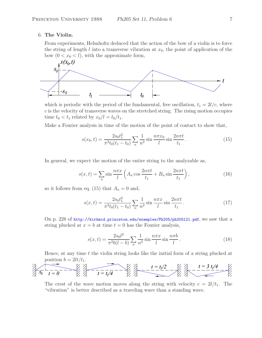#### 6. **The Violin.**

From experiments, Helmholtz deduced that the action of the bow of a violin is to force the string of length  $l$  into a transverse vibration at  $x_0$ , the point of application of the bow  $(0 < x_0 < l)$ , with the approximate form,



which is periodic with the period of the fundamental, free oscillation,  $t_1 = 2l/c$ , where c is the velocity of transverse waves on the stretched string. The rising motion occupies time  $t_0 < t_1$  related by  $x_0/l = t_0/t_1$ .

Make a Fourier analysis in time of the motion of the point of contact to show that,

$$
s(x_0, t) = \frac{2s_0 t_1^2}{\pi^2 t_0 (t_1 - t_0)} \sum_{n} \frac{1}{n^2} \sin \frac{n \pi x_0}{l} \sin \frac{2n \pi t}{t_1}.
$$
 (15)

In general, we expect the motion of the entire string to the analyzable as,

$$
s(x,t) = \sum_{n} \sin \frac{n\pi x}{l} \left( A_n \cos \frac{2n\pi t}{t_1} + B_n \sin \frac{2n\pi t}{t_1} \right),\tag{16}
$$

so it follows from eq. (15) that  $A_n = 0$  and,

$$
s(x,t) = \frac{2s_0 t_1^2}{\pi^2 t_0 (t_1 - t_0)} \sum_n \frac{1}{n^2} \sin \frac{n\pi x}{l} \sin \frac{2n\pi t}{t_1}.
$$
 (17)

On p. 228 of http://kirkmcd.princeton.edu/examples/Ph205/ph205l21.pdf, we saw that a string plucked at  $x = b$  at time  $t = 0$  has the Fourier analysis,

$$
s(x,t) = \frac{2s_0 l^2}{\pi^2 b(l-b)} \sum_n \frac{1}{n^2} \sin \frac{n\pi x}{l} \sin \frac{n\pi b}{l}.
$$
 (18)

Hence, at any time t the violin string looks like the initial form of a string plucked at position  $b = 2lt/t_1$ .

$$
\frac{t}{\sqrt[3]{x_0}-\frac{1}{t=0}} = \frac{t}{t} = \frac{t}{t/4} - \frac{t}{t} = \frac{t}{t/4} - \frac{t-1/2}{t/4} - \frac{t}{t/4} = \frac{3t/4}{t/4} - \frac{t}{t/4} = \frac{3t}{t/4}
$$

The crest of the wave motion moves along the string with velocity  $c = 2l/t_1$ . The "vibration" is better described as a traveling wave than a standing wave.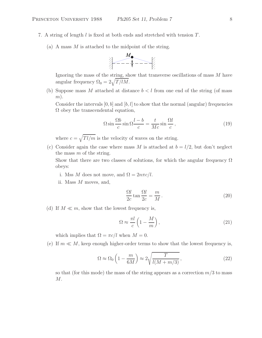- 7. A string of length  $l$  is fixed at both ends and stretched with tension  $T$ .
	- (a) A mass  $M$  is attached to the midpoint of the string.



Ignoring the mass of the string, show that transverse oscillations of mass M have angular frequency  $\Omega_0 = 2\sqrt{T/lM}$ .

(b) Suppose mass M attached at distance  $b < l$  from one end of the string (of mass  $m$ ).

Consider the intervals  $[0, b]$  and  $[b, l]$  to show that the normal (angular) frequencies  $\Omega$  obey the transcendental equation,

$$
\Omega \sin \frac{\Omega b}{c} \sin \Omega \frac{l - b}{c} = \frac{t}{Mc} \sin \frac{\Omega l}{c},\tag{19}
$$

where  $c = \sqrt{Tl/m}$  is the velocity of waves on the string.

(c) Consider again the case where mass M is attached at  $b = l/2$ , but don't neglect the mass  $m$  of the string.

Show that there are two classes of solutions, for which the angular frequency  $\Omega$ obeys:

- i. Mss M does not move, and  $\Omega = 2n\pi c/l$ .
- ii. Mass M moves, and,

$$
\frac{\Omega l}{2c} \tan \frac{\Omega l}{2c} = \frac{m}{M}.
$$
\n(20)

(d) If  $M \ll m$ , show that the lowest frequency is,

$$
\Omega \approx \frac{\pi l}{c} \left( 1 - \frac{M}{m} \right),\tag{21}
$$

which implies that  $\Omega = \pi c/l$  when  $M = 0$ .

(e) If  $m \ll M$ , keep enough higher-order terms to show that the lowest frequency is,

$$
\Omega \approx \Omega_0 \left( 1 - \frac{m}{6M} \right) \approx 2 \sqrt{\frac{T}{l(M + m/3)}},\tag{22}
$$

so that (for this mode) the mass of the string appears as a correction  $m/3$  to mass M.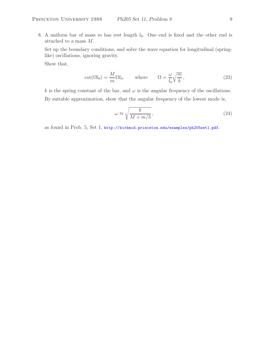8. A uniform bar of mass m has rest length  $l_0$ . One end is fixed and the other end is attached to a mass M.

Set up the boundary conditions, and solve the wave equation for longitudinal (springlike) oscillations, ignoring gravity.

Show that,

$$
\cot(\Omega l_0) = \frac{M}{m} \Omega l_0, \quad \text{where} \quad \Omega = \frac{\omega}{l_0} \sqrt{\frac{m}{k}}, \quad (23)
$$

k is the spring constant of the bar, and  $\omega$  is the angular frequency of the oscillations. By suitable approximation, show that the angular frequency of the lowest mode is,

$$
\omega \approx \sqrt{\frac{k}{M+m/3}},\tag{24}
$$

as found in Prob. 5, Set 1, http://kirkmcd.princeton.edu/examples/ph205set1.pdf.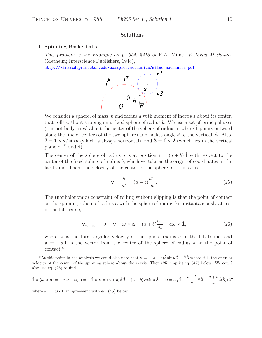## 1. **Spinning Basketballs.**

*This problem is the Example on p. 354,* §*415 of* E.A. Milne, *Vectorial Mechanics* (Metheun; Interscience Publishers, 1948),

http://kirkmcd.princeton.edu/examples/mechanics/milne\_mechanics.pdf



We consider a sphere, of mass m and radius a with moment of inertia I about its center, that rolls without slipping on a fixed sphere of radius  $b$ . We use a set of principal axes (but not body axes) about the center of the sphere of radius  $a$ , where **1** points outward along the line of centers of the two spheres and makes angle  $\theta$  to the vertical,  $\hat{z}$ . Also,  $\hat{\mathbf{Z}} = \hat{\mathbf{I}} \times \hat{\mathbf{z}} / \sin \theta$  (which is always horizontal), and  $\hat{\mathbf{3}} = \hat{\mathbf{I}} \times \hat{\mathbf{2}}$  (which lies in the vertical plane of  $\hat{\mathbf{1}}$  and  $\hat{\mathbf{z}}$ ).

The center of the sphere of radius a is at position  $\mathbf{r} = (a + b) \hat{\mathbf{1}}$  with respect to the center of the fixed sphere of radius  $b$ , which we take as the origin of coordinates in the lab frame. Then, the velocity of the center of the sphere of radius  $a$  is,

$$
\mathbf{v} = \frac{d\mathbf{r}}{dt} = (a+b)\frac{d\hat{\mathbf{1}}}{dt}.
$$
 (25)

The (nonholonomic) constraint of rolling without slipping is that the point of contact on the spinning sphere of radius  $a$  with the sphere of radius  $b$  is instantaneously at rest in the lab frame,

$$
\mathbf{v}_{\text{contact}} = 0 = \mathbf{v} + \boldsymbol{\omega} \times \mathbf{a} = (a+b)\frac{d\hat{\mathbf{1}}}{dt} - a\boldsymbol{\omega} \times \hat{\mathbf{1}},
$$
(26)

where  $\omega$  is the total angular velocity of the sphere radius  $\alpha$  in the lab frame, and **a** =  $-a\hat{1}$  is the vector from the center of the sphere of radius a to the point of contact.<sup>5</sup>

$$
\hat{\mathbf{1}} \times (\boldsymbol{\omega} \times \mathbf{a}) = -a\,\boldsymbol{\omega} - \omega_1\,\mathbf{a} = -\hat{\mathbf{1}} \times \mathbf{v} = (a+b)\,\dot{\theta}\,\hat{\mathbf{2}} + (a+b)\,\dot{\phi}\sin\theta\,\hat{\mathbf{3}}, \quad \boldsymbol{\omega} = \omega_1\,\hat{\mathbf{1}} - \frac{a+b}{a}\,\dot{\theta}\,\hat{\mathbf{2}} - \frac{a+b}{a}\,\dot{\phi}\,\hat{\mathbf{3}}, \tag{27}
$$

where  $\omega_1 = \omega \cdot \hat{\mathbf{1}}$ , in agreement with eq. (45) below.

<sup>&</sup>lt;sup>5</sup>At this point in the analysis we could also note that  $\mathbf{v} = -(a+b)\dot{\phi}\sin\theta\hat{\mathbf{2}} + \dot{\theta}\hat{\mathbf{3}}$  where  $\dot{\phi}$  is the angular city of the center of the spinning sphere about the z-axis. Then (25) implies eq. (47) below. velocity of the center of the spinning sphere about the  $z$ -axis. Then  $(25)$  implies eq.  $(47)$  below. We could also use eq. (26) to find,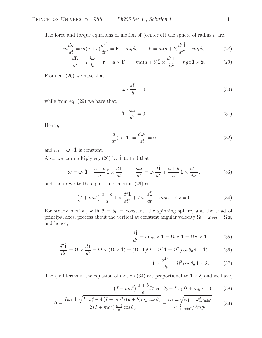The force and torque equations of motion of (center of) the sphere of radius  $a$  are,

$$
m\frac{d\mathbf{v}}{dt} = m(a+b)\frac{d^2\hat{\mathbf{1}}}{dt^2} = \mathbf{F} - mg\,\hat{\mathbf{z}}, \qquad \mathbf{F} = m(a+b)\frac{d^2\hat{\mathbf{1}}}{dt^2} + mg\,\hat{\mathbf{z}}, \tag{28}
$$

$$
\frac{d\mathbf{L}}{dt} = I\frac{d\boldsymbol{\omega}}{dt} = \boldsymbol{\tau} = \mathbf{a} \times \mathbf{F} = -ma(a+b)\hat{\mathbf{1}} \times \frac{d^2\hat{\mathbf{1}}}{dt^2} - mga\hat{\mathbf{1}} \times \hat{\mathbf{z}}.
$$
 (29)

From eq. (26) we have that,

$$
\omega \cdot \frac{d\hat{1}}{dt} = 0,\tag{30}
$$

while from eq. (29) we have that,

$$
\hat{\mathbf{1}} \cdot \frac{d\boldsymbol{\omega}}{dt} = 0. \tag{31}
$$

Hence,

$$
\frac{d}{dt}(\boldsymbol{\omega} \cdot \hat{\mathbf{1}}) = \frac{d\omega_1}{dt} = 0,\tag{32}
$$

and  $\omega_1 = \boldsymbol{\omega} \cdot \hat{\mathbf{1}}$  is constant.

Also, we can multiply eq. (26) by  $\hat{\mathbf{1}}$  to find that,

$$
\omega = \omega_1 \hat{\mathbf{1}} + \frac{a+b}{a} \hat{\mathbf{1}} \times \frac{d\hat{\mathbf{1}}}{dt}, \qquad \frac{d\omega}{dt} = \omega_1 \frac{d\hat{\mathbf{1}}}{dt} + \frac{a+b}{a} \hat{\mathbf{1}} \times \frac{d^2 \hat{\mathbf{1}}}{dt^2}, \tag{33}
$$

and then rewrite the equation of motion (29) as,

$$
\left(I + ma^2\right)\frac{a+b}{a}\hat{1} \times \frac{d^2\hat{1}}{dt^2} + I\,\omega_1\frac{d\hat{1}}{dt} + mga\,\hat{1} \times \hat{\mathbf{z}} = 0. \tag{34}
$$

For steady motion, with  $\theta = \theta_0 = \text{constant}$ , the spinning sphere, and the triad of principal axes, precess about the vertical at constant angular velocity  $\Omega = \omega_{123} = \Omega \hat{z}$ , and hence,

$$
\frac{d\hat{\mathbf{1}}}{dt} = \boldsymbol{\omega}_{123} \times \hat{\mathbf{1}} = \boldsymbol{\Omega} \times \hat{\mathbf{1}} = \boldsymbol{\Omega} \hat{\mathbf{z}} \times \hat{\mathbf{1}},
$$
 (35)

$$
\frac{d^2\hat{\mathbf{1}}}{dt} = \mathbf{\Omega} \times \frac{d\hat{\mathbf{1}}}{dt} = \mathbf{\Omega} \times (\mathbf{\Omega} \times \hat{\mathbf{1}}) = (\mathbf{\Omega} \cdot \hat{\mathbf{1}})\mathbf{\Omega} - \Omega^2 \hat{\mathbf{1}} = \Omega^2(\cos\theta_0 \hat{\mathbf{z}} - \hat{\mathbf{1}}).
$$
 (36)

$$
\hat{\mathbf{1}} \times \frac{d^2 \hat{\mathbf{1}}}{dt} = \Omega^2 \cos \theta_0 \hat{\mathbf{1}} \times \hat{\mathbf{z}}.
$$
 (37)

Then, all terms in the equation of motion (34) are proportional to  $\hat{\mathbf{1}} \times \hat{\mathbf{z}}$ , and we have,

$$
\left(I + ma^2\right) \frac{a+b}{a} \Omega^2 \cos \theta_0 - I \omega_1 \Omega + mga = 0,\tag{38}
$$

$$
\Omega = \frac{I\omega_1 \pm \sqrt{I^2 \omega_1^2 - 4\left(I + ma^2\right)(a+b)mg\cos\theta_0}}{2\left(I + ma^2\right)\frac{a+b}{a}\cos\theta_0} = \frac{\omega_1 \pm \sqrt{\omega_1^2 - \omega_{1,\text{``min''}}^2}}{I\omega_{1,\text{``min''}}^2/2mga},\tag{39}
$$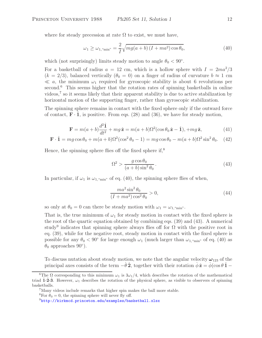where for steady precession at rate  $\Omega$  to exist, we must have,

$$
\omega_1 \ge \omega_{1,\text{``min''}} = \frac{2}{I} \sqrt{mg(a+b)(I+ma^2)\cos\theta_0},\tag{40}
$$

which (not surprisingly) limits steady motion to angle  $\theta_0 < 90^\circ$ .

For a basketball of radius  $a = 12$  cm, which is a hollow sphere with  $I = 2ma^2/3$  $(k = 2/3)$ , balanced vertically  $(\theta_0 = 0)$  on a finger of radius of curvature  $b \approx 1$  cm  $\ll a$ , the minimum  $\omega_1$  required for gyroscopic stability is about 6 revolutions per second.<sup>6</sup> This seems higher that the rotation rates of spinning basketballs in online videos,<sup>7</sup> so it seems likely that their apparent stability is due to active stabilization by horizontal motion of the supporting finger, rather than gyroscopic stabilization.

The spinning sphere remains in contact with the fixed sphere only if the outward force of contact,  $\mathbf{F} \cdot \mathbf{1}$ , is positive. From eqs. (28) and (36), we have for steady motion,

$$
\mathbf{F} = m(a+b)\frac{d^2\hat{\mathbf{1}}}{dt^2} + mg\,\hat{\mathbf{z}} = m(a+b)\Omega^2(\cos\theta_0\,\hat{\mathbf{z}} - \hat{\mathbf{1}}), +mg\,\hat{\mathbf{z}},\tag{41}
$$

$$
\mathbf{F} \cdot \hat{\mathbf{1}} = mg \cos \theta_0 + m(a+b)\Omega^2(\cos^2 \theta_0 - 1) = mg \cos \theta_0 - m(a+b)\Omega^2 \sin^2 \theta_0. \tag{42}
$$

Hence, the spinning sphere flies off the fixed sphere if, $8$ 

$$
\Omega^2 > \frac{g\cos\theta_0}{(a+b)\sin^2\theta_0} \,. \tag{43}
$$

In particular, if  $\omega_1$  is  $\omega_{1, \text{``min''}}$  of eq. (40), the spinning sphere flies of when,

$$
\frac{ma^2\sin^2\theta_0}{(I+ma^2)\cos^2\theta_0} > 0,
$$
\n(44)

so only at  $\theta_0 = 0$  can there be steady motion with  $\omega_1 = \omega_{1,\text{``min''}}$ .

That is, the true minimum of  $\omega_1$  for steady motion in contact with the fixed sphere is the root of the quartic equation obtained by combining eqs. (39) and (43). A numerical study<sup>9</sup> indicates that spinning sphere always flies off for  $\Omega$  with the positive root in eq. (39), while for the negative root, steady motion in contact with the fixed sphere is possible for any  $\theta_0 < 90^{\circ}$  for large enough  $\omega_1$  (much larger than  $\omega_{1, \text{``min''}}$  of eq. (40) as  $\theta_0$  approaches 90<sup>°</sup>).

To discuss nutation about steady motion, we note that the angular velocity  $\omega_{123}$  of the principal axes consists of the term  $-\dot{\theta}\hat{2}$ , together with their rotation  $\dot{\phi}\hat{z} = \dot{\phi}(\cos\theta\hat{1} - \dot{\phi})$ 

<sup>&</sup>lt;sup>6</sup>The  $\Omega$  corresponding to this minimum  $\omega_1$  is  $3\omega_1/4$ , which describes the rotation of the mathematical triad **1-2-3**. However,  $\omega_1$  describes the rotation of the physical sphere, as visible to observers of spinning basketballs.

<sup>7</sup>Many videos include remarks that higher spin makes the ball more stable.

<sup>&</sup>lt;sup>8</sup>For  $\theta_0 = 0$ , the spinning sphere will never fly off.

<sup>9</sup>http://kirkmcd.princeton.edu/examples/basketball.xlsx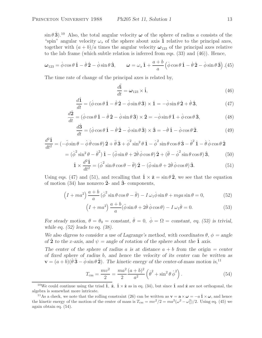$\sin \theta \hat{3}$ <sup>10</sup> Also, the total angular velocity  $\omega$  of the sphere of radius a consists of the "spin" angular velocity  $\omega_s$  of the sphere about axis  $\hat{1}$  relative to the principal axes, together with  $(a + b)/a$  times the angular velocity  $\omega_{123}$  of the principal axes relative to the lab frame (which subtle relation is inferred from eqs. (33) and (46)). Hence,

$$
\boldsymbol{\omega}_{123} = \dot{\phi}\cos\theta\,\hat{\mathbf{1}} - \dot{\theta}\,\hat{\mathbf{2}} - \dot{\phi}\sin\theta\,\hat{\mathbf{3}}, \qquad \boldsymbol{\omega} = \omega_s\,\hat{\mathbf{1}} + \frac{a+b}{a}\left(\dot{\phi}\cos\theta\,\hat{\mathbf{1}} - \dot{\theta}\,\hat{\mathbf{2}} - \dot{\phi}\sin\theta\,\hat{\mathbf{3}}\right). (45)
$$

The time rate of change of the principal axes is related by,

$$
\frac{d\hat{\mathbf{i}}}{dt} = \boldsymbol{\omega}_{123} \times \hat{\mathbf{i}},\tag{46}
$$

$$
\frac{d\hat{\mathbf{1}}}{dt} = (\dot{\phi}\cos\theta \,\hat{\mathbf{1}} - \dot{\theta}\,\hat{\mathbf{2}} - \dot{\phi}\sin\theta \,\hat{\mathbf{3}}) \times \hat{\mathbf{1}} = -\dot{\phi}\sin\theta \,\hat{\mathbf{2}} + \dot{\theta}\,\hat{\mathbf{3}},\tag{47}
$$

$$
\frac{d\hat{\mathbf{2}}}{dt} = (\dot{\phi}\cos\theta \,\hat{\mathbf{1}} - \dot{\theta}\,\hat{\mathbf{2}} - \dot{\phi}\sin\theta \,\hat{\mathbf{3}}) \times \hat{\mathbf{2}} = -\dot{\phi}\sin\theta \,\hat{\mathbf{1}} + \dot{\phi}\cos\theta \,\hat{\mathbf{3}},\tag{48}
$$

$$
\frac{d\hat{\mathbf{3}}}{dt} = (\dot{\phi}\cos\theta\,\hat{\mathbf{1}} - \dot{\theta}\,\hat{\mathbf{2}} - \dot{\phi}\sin\theta\,\hat{\mathbf{3}}) \times \hat{\mathbf{3}} = -\dot{\theta}\,\hat{\mathbf{1}} - \dot{\phi}\cos\theta\,\hat{\mathbf{2}}.\tag{49}
$$

$$
\frac{d^2\hat{\mathbf{1}}}{dt^2} = \left(-\ddot{\phi}\sin\theta - \dot{\phi}\dot{\theta}\cos\theta\right)\hat{\mathbf{2}} + \ddot{\theta}\hat{\mathbf{3}} + \dot{\phi}^2\sin^2\theta\hat{\mathbf{1}} - \dot{\phi}^2\sin\theta\cos\theta\hat{\mathbf{3}} - \dot{\theta}^2\hat{\mathbf{1}} - \dot{\theta}\dot{\phi}\cos\theta\hat{\mathbf{2}}
$$

$$
= (\dot{\phi}^2 \sin^2 \theta - \dot{\theta}^2) \hat{\mathbf{1}} - (\ddot{\phi} \sin \theta + 2\dot{\theta} \dot{\phi} \cos \theta) \hat{\mathbf{2}} + (\ddot{\theta} - \dot{\phi}^2 \sin \theta \cos \theta) \hat{\mathbf{3}},
$$
(50)

$$
\hat{\mathbf{1}} \times \frac{d^2 \hat{\mathbf{1}}}{dt^2} = (\dot{\phi}^2 \sin \theta \cos \theta - \ddot{\theta}) \hat{\mathbf{2}} - (\ddot{\phi} \sin \theta + 2\dot{\theta} \dot{\phi} \cos \theta) \hat{\mathbf{3}}.
$$
 (51)

Using eqs. (47) and (51), and recalling that  $\hat{\mathbf{1}} \times \hat{\mathbf{z}} = \sin \theta \hat{\mathbf{2}}$ , we see that the equation of motion (34) has nonzero **2**ˆ- and **3**ˆ- components,

$$
(I + ma^2) \frac{a+b}{a} (\dot{\phi}^2 \sin \theta \cos \theta - \ddot{\theta}) - I \omega_1 \dot{\phi} \sin \theta + mga \sin \theta = 0,
$$
 (52)

$$
(I + ma2) \frac{a+b}{a} (\ddot{\phi} \sin \theta + 2\dot{\theta} \dot{\phi} \cos \theta) - I \omega_1 \dot{\theta} = 0.
$$
 (53)

*For steady motion,*  $\theta = \theta_0 = constant$ ,  $\dot{\theta} = 0$ ,  $\dot{\phi} = \Omega = constant$ , eq. (53) is trivial, *while eq. (52) leads to eq. (38).*

*We also digress to consider a use of Lagrange's method, with coordinates*  $\theta$ ,  $\phi$  = angle *of* **2** *to the x-axis, and*  $\psi$  = angle of rotation of the sphere about the **1** axis.

The center of the sphere of radius  $\alpha$  is at distance  $\alpha + b$  from the origin  $=$  center *of fixed sphere of radius* b*, and hence the velocity of its center can be written as*  $\mathbf{v} = (a + b)(\dot{\theta}\,\hat{\mathbf{3}} - \dot{\phi}\sin\theta\,\hat{\mathbf{2}})$ *. The kinetic energy of the center-of-mass motion is*,<sup>11</sup>

$$
T_{\rm cm} = \frac{mv^2}{2} = \frac{ma^2}{2} \frac{(a+b)^2}{a^2} \left(\dot{\theta}^2 + \sin^2 \theta \dot{\phi}^2\right).
$$
 (54)

<sup>&</sup>lt;sup>10</sup>We could continue using the triad  $\hat{\mathbf{1}}, \hat{\mathbf{z}}, \hat{\mathbf{1}} \times \hat{\mathbf{z}}$  as in eq. (34), but since  $\hat{\mathbf{1}}$  and  $\hat{\mathbf{z}}$  are not orthogonal, the algebra is somewhat more intricate.

<sup>&</sup>lt;sup>11</sup>As a check, we note that the rolling constraint (26) can be written as  $\mathbf{v} = \mathbf{a} \times \boldsymbol{\omega} = -a \hat{\mathbf{1}} \times \boldsymbol{\omega}$ , and hence the kinetic energy of the motion of the center of mass is  $T_{\text{cm}} = mv^2/2 = ma^2(\omega^2 - \omega_1^2)/2$ . Using eq. (45) we again obtain eq. (54).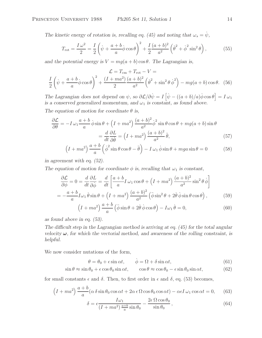*The kinetic energy of rotation is, recalling eq. (45) and noting that*  $\omega_s = \dot{\psi}$ ,

$$
T_{\rm rot} = \frac{I\omega^2}{2} = \frac{I}{2}\left(\dot{\psi} + \frac{a+b}{a}\dot{\phi}\cos\theta\right)^2 + \frac{I}{2}\frac{(a+b)^2}{a^2}\left(\dot{\theta}^2 + \dot{\phi}^2\sin^2\theta\right),\tag{55}
$$

*and the potential energy is*  $V = mg(a + b) \cos \theta$ . The Lagrangian is,

$$
\mathcal{L} = T_{\text{cm}} + T_{\text{rot}} - V =
$$
\n
$$
\frac{I}{2} \left( \dot{\psi} + \frac{a+b}{a} \dot{\phi} \cos \theta \right)^2 + \frac{(I + ma^2)}{2} \frac{(a+b)^2}{a^2} \left( \dot{\theta}^2 + \sin^2 \theta \, \dot{\phi}^2 \right) - mg(a+b) \cos \theta. \tag{56}
$$

*The Lagrangian does not depend on*  $\psi$ *, so*  $\partial \mathcal{L}/\partial \psi = I \left[ \dot{\psi} - ((a+b)/a) \dot{\phi} \cos \theta \right] = I \omega_1$ *is a conserved generalized momentum, and*  $\omega_1$  *is constant, as found above.* 

The equation of motion for coordinate  $\theta$  is,

$$
\frac{\partial \mathcal{L}}{\partial \theta} = -I \,\omega_1 \frac{a+b}{a} \dot{\phi} \sin \theta + \left(I + ma^2\right) \frac{(a+b)^2}{a^2} \dot{\phi}^2 \sin \theta \cos \theta + mg(a+b) \sin \theta
$$

$$
= \frac{d}{dt} \frac{\partial L}{\partial \dot{\theta}} = \left(I + ma^2\right) \frac{(a+b)^2}{a^2} \ddot{\theta},\tag{57}
$$

$$
\left(I + ma^2\right)\frac{a+b}{a}\left(\dot{\phi}^2 \sin\theta\cos\theta - \ddot{\theta}\right) - I\,\omega_1\,\dot{\phi}\sin\theta + mga\sin\theta = 0\tag{58}
$$

*in agreement with eq. (52).*

*The equation of motion for coordinate*  $\phi$  *is, recalling that*  $\omega_1$  *is constant,* 

$$
\frac{\partial \mathcal{L}}{\partial \phi} = 0 = \frac{d}{dt} \frac{\partial L}{\partial \dot{\phi}} = \frac{d}{dt} \left[ \frac{a+b}{a} I \omega_1 \cos \theta + \left( I + ma^2 \right) \frac{(a+b)^2}{a^2} \sin^2 \theta \dot{\phi} \right]
$$

$$
= -\frac{a+b}{a} I \omega_1 \dot{\theta} \sin \theta + \left( I + ma^2 \right) \frac{(a+b)^2}{a^2} \left( \ddot{\phi} \sin^2 \theta + 2\dot{\theta} \dot{\phi} \sin \theta \cos \theta \right), \tag{59}
$$

$$
\left(I + ma^2\right)\frac{a+b}{a}\left(\ddot{\phi}\sin\theta + 2\dot{\theta}\dot{\phi}\cos\theta\right) - I\omega_1\dot{\theta} = 0,\tag{60}
$$

*as found above in eq. (53).*

*The difficult step in the Lagrangian method is arriving at eq. (45) for the total angular velocity*  $\omega$ *, for which the vectorial method, and awareness of the rolling constraint, is helpful.*

We now consider nutations of the form,

$$
\theta = \theta_0 + \epsilon \sin \alpha t, \qquad \dot{\phi} = \Omega + \delta \sin \alpha t, \tag{61}
$$

$$
\sin \theta \approx \sin \theta_0 + \epsilon \cos \theta_0 \sin \alpha t, \qquad \cos \theta \approx \cos \theta_0 - \epsilon \sin \theta_0 \sin \alpha t, \tag{62}
$$

for small constants  $\epsilon$  and  $\delta$ . Then, to first order in  $\epsilon$  and  $\delta$ , eq. (53) becomes,

$$
(I + ma^2) \frac{a+b}{a} (\alpha \delta \sin \theta_0 \cos \alpha t + 2\alpha \epsilon \Omega \cos \theta_0 \cos \alpha t) - \alpha \epsilon I \omega_1 \cos \alpha t = 0, \quad (63)
$$

$$
\delta = \epsilon \frac{I\omega_1}{(I + ma^2)\frac{a+b}{a}\sin\theta_0} - \frac{2\epsilon\,\Omega\cos\theta_0}{\sin\theta_0},\tag{64}
$$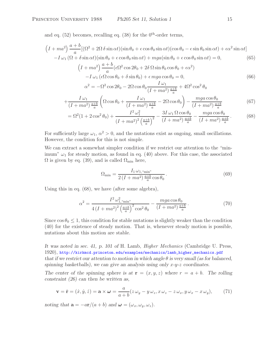and eq.  $(52)$  becomes, recalling eq.  $(38)$  for the  $0<sup>th</sup>$ -order terms.

$$
(I + ma^2) \frac{a+b}{a} [(\Omega^2 + 2\Omega \delta \sin \alpha t) (\sin \theta_0 + \epsilon \cos \theta_0 \sin \alpha t) (\cos \theta_0 - \epsilon \sin \theta_0 \sin \alpha t) + \epsilon \alpha^2 \sin \alpha t]
$$
  
\n
$$
-I \omega_1 (\Omega + \delta \sin \alpha t) (\sin \theta_0 + \epsilon \cos \theta_0 \sin \alpha t) + mga (\sin \theta_0 + \epsilon \cos \theta_0 \sin \alpha t) = 0,
$$
(65)  
\n
$$
(I + ma^2) \frac{a+b}{a} (\epsilon \Omega^2 \cos 2\theta_0 + 2\delta \Omega \sin \theta_0 \cos \theta_0 + \epsilon \alpha^2)
$$
  
\n
$$
-I \omega_1 (\epsilon \Omega \cos \theta_0 + \delta \sin \theta_0) + \epsilon mga \cos \theta_0 = 0,
$$
(66)  
\n
$$
\alpha^2 = -\Omega^2 \cos 2\theta_0 - 2\Omega \cos \theta_0 \frac{I \omega_1}{(I + ma^2) \frac{a+b}{a}} + 4\Omega^2 \cos^2 \theta_0
$$
  
\n
$$
+ \frac{I \omega_1}{(I + ma^2) \frac{a+b}{a}} \left( \Omega \cos \theta_0 + \frac{I \omega_1}{(I + ma^2) \frac{a+b}{a}} - 2\Omega \cos \theta_0 \right) - \frac{mga \cos \theta_0}{(I + ma^2) \frac{a+b}{a}} \qquad (67)
$$
  
\n
$$
= \Omega^2 (1 + 2 \cos^2 \theta_0) + \frac{I^2 \omega_1^2}{(I + ma^2)^2 \left( \frac{a+b}{a} \right)^2} - \frac{3I \omega_1 \Omega \cos \theta_0}{(I + ma^2) \frac{a+b}{a}} - \frac{mga \cos \theta_0}{(I + ma^2) \frac{a+b}{a}}.
$$
(68)

For sufficiently large  $\omega_1$ ,  $\alpha^2 > 0$ , and the nutations exist as ongoing, small oscillations. However, the condition for this is not simple.

We can extract a somewhat simpler condition if we restrict our attention to the "minimum"  $\omega_1$  for steady motion, as found in eq. (40) above. For this case, the associated  $\Omega$  is given by eq. (39), and is called  $\Omega_{\text{min}}$  here,

$$
\Omega_{\min} = \frac{I_1 \,\omega_{1,\text{``min''}}}{2\left(I + ma^2\right) \frac{a+b}{a} \cos \theta_0} \,. \tag{69}
$$

Using this in eq. (68), we have (after some algebra),

$$
\alpha^2 = \frac{I^2 \omega_{1, \text{``min''}}^2}{4 \left(I + ma^2\right)^2 \left(\frac{a+b}{a}\right)^2 \cos^2 \theta_0} - \frac{mga \cos \theta_0}{\left(I + ma^2\right) \frac{a+b}{a}}.
$$
\n(70)

Since  $\cos \theta_0 \leq 1$ , this condition for stable nutations is slightly weaker than the condition (40) for the existence of steady motion. That is, whenever steady motion is possible, nutations about this motion are stable.

*It was noted in sec. 41, p. 101 of* H. Lamb, *Higher Mechanics* (Cambridge U. Press, 1920), http://kirkmcd.princeton.edu/examples/mechanics/lamb\_higher\_mechanics.pdf *that if we restrict our attention to motion in which angle*  $\theta$  *is very small (as for balanced, spinning basketballs), we can give an analysis using only* x*-*y*-*z *coordinates.*

*The center of the spinning sphere is at*  $\mathbf{r} = (x, y, z)$  where  $r = a + b$ . The rolling *constraint (26) can then be written as,*

$$
\mathbf{v} = \dot{\mathbf{r}} = (\dot{x}, \dot{y}, \dot{z}) = \mathbf{a} \times \boldsymbol{\omega} = \frac{a}{a+b} (z \omega_y - y \omega_z, x \omega_z - z \omega_x, y \omega_x - x \omega_y), \quad (71)
$$

*noting that*  $\mathbf{a} = -a\mathbf{r}/(a+b)$  *and*  $\boldsymbol{\omega} = (\omega_x, \omega_y, \omega_z)$ *.*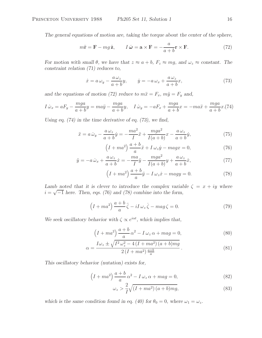*The general equations of motion are, taking the torque about the center of the sphere,*

$$
m\ddot{\mathbf{r}} = \mathbf{F} - mg\,\hat{\mathbf{z}}, \qquad I\,\dot{\boldsymbol{\omega}} = \mathbf{a} \times \mathbf{F} = -\frac{a}{a+b}\mathbf{r} \times \mathbf{F}.
$$
 (72)

*For motion with small*  $\theta$ *, we have that*  $z \approx a + b$ *,*  $F_z \approx mg$ *, and*  $\omega_z \approx$  *constant. The constraint relation (71) reduces to,*

$$
\dot{x} = a\,\omega_y - \frac{a\,\omega_z}{a+b}y, \qquad \dot{y} = -a\,\omega_x + \frac{a\,\omega_z}{a+b}x,\tag{73}
$$

and the equations of motion (72) reduce to  $m\ddot{x} = F_x$ ,  $m\ddot{y} = F_y$  and,

$$
I\dot{\omega}_x = aF_y - \frac{mga}{a+b}y = ma\ddot{y} - \frac{mga}{a+b}y, \quad I\dot{\omega}_y = -aF_x + \frac{mga}{a+b}x = -ma\ddot{x} + \frac{mga}{a+b}x.(74)
$$

*Using eq. (74) in the time derivative of eq. (73), we find,*

$$
\ddot{x} = a\,\dot{\omega}_y - \frac{a\,\omega_z}{a+b}\dot{y} = -\frac{ma^2}{I}\ddot{x} + \frac{mga^2}{I(a+b)}x - \frac{a\,\omega_z}{a+b}\dot{y},\tag{75}
$$

$$
\left(I + ma^2\right)\frac{a+b}{a}\ddot{x} + I\,\omega_z\dot{y} - magx = 0,\tag{76}
$$

$$
\ddot{y} = -a\,\dot{\omega}_x + \frac{a\,\omega_z}{a+b}\dot{x} = -\frac{ma}{I}\ddot{y} - \frac{mga^2}{I(a+b)}y + \frac{a\,\omega_z}{a+b}\dot{x},\tag{77}
$$

$$
\left(I + ma^2\right)\frac{a+b}{a}\ddot{y} - I\,\omega_z\dot{x} - magy = 0.\tag{78}
$$

*Lamb noted that it is clever to introduce the complex variable*  $\zeta = x + iy$  where  $i = \sqrt{-1}$  *here. Then, eqs.* (76) and (78) combine into the form,

$$
\left(I + ma^2\right)\frac{a+b}{a}\ddot{\zeta} - iI\,\omega_z\,\dot{\zeta} - mag\,\zeta = 0.\tag{79}
$$

*We seek oscillatory behavior with*  $\zeta \propto e^{i\alpha t}$ *, which implies that,* 

$$
\left(I + ma^2\right)\frac{a+b}{a}\alpha^2 - I\,\omega_z\,\alpha + mag = 0,\tag{80}
$$

$$
\alpha = \frac{I\omega_z \pm \sqrt{I^2 \omega_z^2 - 4\left(I + ma^2\right)(a + b)mg}}{2\left(I + ma^2\right)\frac{a + b}{a}}.
$$
\n(81)

*This oscillatory behavior (nutation) exists for,*

$$
\left(I + ma^2\right)\frac{a+b}{a}\alpha^2 - I\,\omega_z\,\alpha + mag = 0,\tag{82}
$$

$$
\omega_z > \frac{2}{I} \sqrt{\left(I + ma^2\right)(a+b)mg},\tag{83}
$$

which is the same condition found in eq. (40) for  $\theta_0 = 0$ , where  $\omega_1 = \omega_z$ .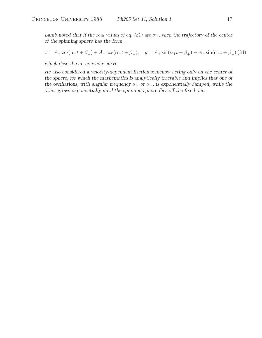*Lamb noted that if the real values of eq. (81) are*  $\alpha_{\pm}$ , then the trajectory of the center *of the spinning sphere has the form,*

$$
x = A_+ \cos(\alpha_+ t + \beta_+) + A_- \cos(\alpha_- t + \beta_-), \quad y = A_+ \sin(\alpha_+ t + \beta_+) + A_- \sin(\alpha_- t + \beta_-),
$$
 (84)

*which describe an epicyclic curve.*

*He also considered a velocity-dependent friction somehow acting only on the center of the sphere, for which the mathematics is analytically tractable and implies that one of the oscillations, with angular frequency*  $\alpha_+$  *or*  $\alpha_-$ *, is exponentially damped, while the other grows exponentially until the spinning sphere flies off the fixed one.*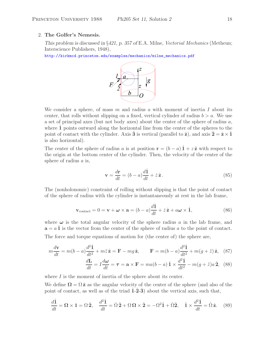#### 2. **The Golfer's Nemesis.**

*This problem is discussed in* §*421, p. 357 of* E.A. Milne, *Vectorial Mechanics* (Metheun; Interscience Publishers, 1948),

http://kirkmcd.princeton.edu/examples/mechanics/milne\_mechanics.pdf



We consider a sphere, of mass m and radius a with moment of inertia I about its center, that rolls without slipping on a fixed, vertical cylinder of radius  $b>a$ . We use a set of principal axes (but not body axes) about the center of the sphere of radius  $a$ , where 1 points outward along the horizontal line from the center of the spheres to the point of contact with the cylinder. Axis **3** is vertical (parallel to  $\hat{\mathbf{z}}$ ), and axis  $\hat{\mathbf{z}} = \hat{\mathbf{z}} \times \hat{\mathbf{1}}$ is also horizontal).

The center of the sphere of radius a is at position  $\mathbf{r} = (b - a)\hat{\mathbf{1}} + z\hat{\mathbf{z}}$  with respect to the origin at the bottom center of the cylinder. Then, the velocity of the center of the sphere of radius  $\alpha$  is,

$$
\mathbf{v} = \frac{d\mathbf{r}}{dt} = (b - a)\frac{d\hat{\mathbf{l}}}{dt} + \dot{z}\,\hat{\mathbf{z}}\,. \tag{85}
$$

The (nonholonomic) constraint of rolling without slipping is that the point of contact of the sphere of radius with the cylinder is instantaneously at rest in the lab frame,

$$
\mathbf{v}_{\text{contact}} = 0 = \mathbf{v} + \boldsymbol{\omega} \times \mathbf{a} = (b - a) \frac{d\hat{\mathbf{1}}}{dt} + \dot{z}\hat{\mathbf{z}} + a\boldsymbol{\omega} \times \hat{\mathbf{1}},
$$
(86)

where  $\omega$  is the total angular velocity of the sphere radius a in the lab frame, and  $\mathbf{a} = a \hat{\mathbf{1}}$  is the vector from the center of the sphere of radius a to the point of contact. The force and torque equations of motion for (the center of) the sphere are,

$$
m\frac{d\mathbf{v}}{dt} = m(b-a)\frac{d^2\hat{\mathbf{1}}}{dt^2} + m\ddot{z}\hat{\mathbf{z}} = \mathbf{F} - mg\hat{\mathbf{z}}, \qquad \mathbf{F} = m(b-a)\frac{d^2\hat{\mathbf{1}}}{dt^2} + m(g+\ddot{z})\hat{\mathbf{z}}, \quad (87)
$$

$$
\frac{d\mathbf{L}}{dt} = I\frac{d\boldsymbol{\omega}}{dt} = \boldsymbol{\tau} = \mathbf{a} \times \mathbf{F} = ma(b-a)\hat{\mathbf{1}} \times \frac{d^2\hat{\mathbf{1}}}{dt^2} - m(g+\ddot{z})a\hat{\mathbf{2}}, \tag{88}
$$

where  $I$  is the moment of inertia of the sphere about its center.

We define  $\Omega = \Omega \hat{z}$  as the angular velocity of the center of the sphere (and also of the point of contact, as well as of the triad  $\hat{1}$ - $\hat{2}$ - $\hat{3}$ <sup> $)$ </sup> about the vertical axis, such that,

$$
\frac{d\hat{\mathbf{1}}}{dt} = \mathbf{\Omega} \times \mathbf{1} = \Omega \hat{\mathbf{2}}, \quad \frac{d^2 \hat{\mathbf{1}}}{dt} = \dot{\Omega} \hat{\mathbf{2}} + \Omega \mathbf{\Omega} \times \hat{\mathbf{2}} = -\Omega^2 \hat{\mathbf{1}} + \dot{\Omega} \hat{\mathbf{2}}, \quad \hat{\mathbf{1}} \times \frac{d^2 \hat{\mathbf{1}}}{dt} = \dot{\Omega} \hat{\mathbf{z}}. \tag{89}
$$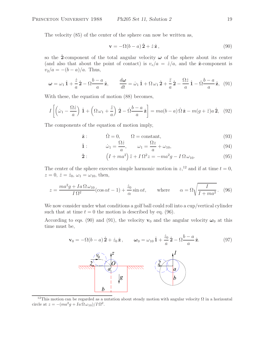The velocity (85) of the center of the sphere can now be written as,

$$
\mathbf{v} = -\Omega(b - a)\,\hat{\mathbf{2}} + \dot{z}\,\hat{\mathbf{z}}\,,\tag{90}
$$

so the **2**-component of the total angular velocity  $\omega$  of the sphere about its center (and also that about the point of contact) is  $v_z/a = \dot{z}/a$ , and the  $\hat{z}$ -component is  $v_2/a = -(b-a)/a$ . Thus,

$$
\omega = \omega_1 \hat{\mathbf{1}} + \frac{\dot{z}}{a} \hat{\mathbf{2}} - \Omega \frac{b-a}{a} \hat{\mathbf{z}}, \qquad \frac{d\omega}{dt} = \dot{\omega}_1 \hat{\mathbf{1}} + \Omega \omega_1 \hat{\mathbf{2}} + \frac{\ddot{z}}{a} \hat{\mathbf{2}} - \frac{\Omega \dot{z}}{a} \hat{\mathbf{1}} - \dot{\Omega} \frac{b-a}{a} \hat{\mathbf{z}}, \tag{91}
$$

With these, the equation of motion (88) becomes,

$$
I\left[\left(\dot{\omega}_1 - \frac{\Omega \dot{z}}{a}\right) \hat{1} + \left(\Omega \omega_1 + \frac{\ddot{z}}{a}\right) \hat{2} - \dot{\Omega} \frac{b-a}{a} \hat{z}\right] = ma(b-a) \dot{\Omega} \hat{z} - m(g+\ddot{z})a \hat{2}, \quad (92)
$$

The components of the equation of motion imply,

$$
\hat{\mathbf{z}}: \qquad \dot{\Omega} = 0, \qquad \Omega = \text{constant}, \tag{93}
$$

$$
\hat{\mathbf{1}}: \qquad \qquad \dot{\omega}_1 = \frac{\Omega \dot{z}}{a}, \qquad \omega_1 = \frac{\Omega z}{a} + \omega_{10}, \tag{94}
$$

$$
\hat{\mathbf{2}}: \qquad \left(I + ma^2\right)\ddot{z} + I\,\Omega^2 z = -ma^2g - I\,\Omega\,\omega_{10}.\tag{95}
$$

The center of the sphere executes simple harmonic motion in  $z$ <sup>12</sup>, and if at time  $t = 0$ ,  $z = 0, \, \dot{z} = \dot{z}_0, \, \omega_1 = \omega_{10}$ , then,

$$
z = \frac{ma^2g + Ia\,\Omega\,\omega_{10}}{I\,\Omega^2}(\cos\alpha t - 1) + \frac{\dot{z}_0}{\alpha}\sin\alpha t, \qquad \text{where} \qquad \alpha = \Omega\sqrt{\frac{I}{I + ma^2}}. \tag{96}
$$

We now consider under what conditions a golf ball could roll into a cup/vertical cylinder such that at time  $t = 0$  the motion is described by eq. (96).

According to eqs. (90) and (91), the velocity  $\mathbf{v}_0$  and the angular velocity  $\boldsymbol{\omega}_0$  at this time must be,

$$
\mathbf{v}_0 = -\Omega(b-a)\,\hat{\mathbf{2}} + \dot{z}_0\,\hat{\mathbf{z}}, \qquad \boldsymbol{\omega}_0 = \omega_{10}\,\hat{\mathbf{1}} + \frac{\dot{z}_0}{a}\,\hat{\mathbf{2}} - \Omega\frac{b-a}{a}\,\hat{\mathbf{z}}.
$$
 (97)  

$$
\frac{\sum_{i=1}^{n} a_i}{\sum_{i=1}^{n} a_i} \begin{pmatrix} a & b \\ c & d \end{pmatrix}
$$

<sup>&</sup>lt;sup>12</sup>This motion can be regarded as a nutation about steady motion with angular velocity  $\Omega$  in a horizontal circle at  $z = -(ma^2g + Ia \Omega \omega_{10})/I \Omega^2$ .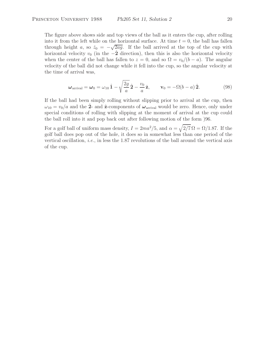The figure above shows side and top views of the ball as it enters the cup, after rolling into it from the left while on the horizontal surface. At time  $t = 0$ , the ball has fallen through height a, so  $\dot{z}_0 = -\sqrt{2ag}$ . If the ball arrived at the top of the cup with horizontal velocity  $v_0$  (in the  $-2$  direction), then this is also the horizontal velocity when the center of the ball has fallen to  $z = 0$ , and so  $\Omega = v_0/(b - a)$ . The angular velocity of the ball did not change while it fell into the cup, so the angular velocity at the time of arrival was,

$$
\boldsymbol{\omega}_{\text{arrival}} = \boldsymbol{\omega}_0 = \omega_{10} \,\hat{\mathbf{1}} - \sqrt{\frac{2g}{a}} \,\hat{\mathbf{2}} - \frac{v_0}{a} \,\hat{\mathbf{z}}, \qquad \mathbf{v}_0 = -\Omega(b-a) \,\hat{\mathbf{2}}.\tag{98}
$$

If the ball had been simply rolling without slipping prior to arrival at the cup, then  $\omega_{10} = v_0/a$  and the 2- and  $\hat{\mathbf{z}}$ -components of  $\boldsymbol{\omega}_{\text{arrival}}$  would be zero. Hence, only under special conditions of rolling with slipping at the moment of arrival at the cup could the ball roll into it and pop back out after following motion of the form )96.

For a golf ball of uniform mass density,  $I = 2ma^2/5$ , and  $\alpha = \sqrt{2/7} \Omega = \Omega/1.87$ . If the golf ball does pop out of the hole, it does so in somewhat less than one period of the vertical oscillation, *i.e.*, in less the 1.87 revolutions of the ball around the vertical axis of the cup.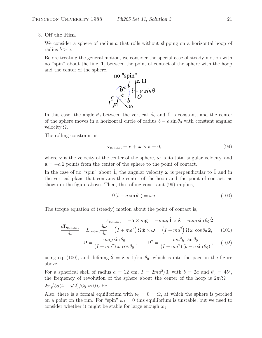## 3. **Off the Rim.**

We consider a sphere of radius  $\alpha$  that rolls without slipping on a horizontal hoop of radius  $b>a$ .

Before treating the general motion, we consider the special case of steady motion with no "spin" about the line, 1, between the point of contact of the sphere with the hoop and the center of the sphere.



In this case, the angle  $\theta_0$  between the vertical,  $\hat{z}$ , and  $\hat{1}$  is constant, and the center of the sphere moves in a horizontal circle of radius  $b - a \sin \theta_0$  with constant angular velocity Ω.

The rolling constraint is,

$$
\mathbf{v}_{\text{contact}} = \mathbf{v} + \boldsymbol{\omega} \times \mathbf{a} = 0,\tag{99}
$$

where **v** is the velocity of the center of the sphere,  $\omega$  is its total angular velocity, and  $a = -aI$  points from the center of the sphere to the point of contact.

In the case of no "spin" about **1**, the angular velocity  $\omega$  is perpendicular to **1** and in the vertical plane that contains the center of the hoop and the point of contact, as shown in the figure above. Then, the rolling constraint (99) implies,

$$
\Omega(b - a\sin\theta_0) = \omega a. \tag{100}
$$

The torque equation of (steady) motion about the point of contact is,

$$
\boldsymbol{\tau}_{\text{contact}} = -\mathbf{a} \times m\mathbf{g} = -mag \hat{\mathbf{1}} \times \hat{\mathbf{z}} = mag \sin \theta_0 \hat{\mathbf{2}}
$$

$$
= \frac{d\mathbf{L}_{\text{contact}}}{dt} = I_{\text{contact}} \frac{d\boldsymbol{\omega}}{dt} = \left(I + ma^2\right) \Omega \hat{\mathbf{z}} \times \boldsymbol{\omega} = \left(I + ma^2\right) \Omega \omega \cos \theta_0 \hat{\mathbf{z}}, \qquad (101)
$$

$$
\Omega = \frac{mag \sin \theta_0}{(I + ma^2) \omega \cos \theta_0}, \qquad \Omega^2 = \frac{ma^2 g \tan \theta_0}{(I + ma^2) (b - a \sin \theta_0)}, \qquad (102)
$$

using eq. (100), and defining  $\hat{\mathbf{2}} = \hat{\mathbf{z}} \times \hat{\mathbf{1}} / \sin \theta_0$ , which is into the page in the figure above.

For a spherical shell of radius  $a = 12$  cm,  $I = 2ma^2/3$ , with  $b = 2a$  and  $\theta_0 = 45°$ , the frequency of revolution of the sphere about the center of the hoop is  $2\pi/\Omega$  =  $2\pi\sqrt{5a(4-\sqrt{2})/6g} \approx 0.6$  Hz.

Also, there is a formal equilibrium with  $\theta_0 = 0 = \Omega$ , at which the sphere is perched on a point on the rim. For "spin"  $\omega_1 = 0$  this equilibrium is unstable, but we need to consider whether it might be stable for large enough  $\omega_1$ .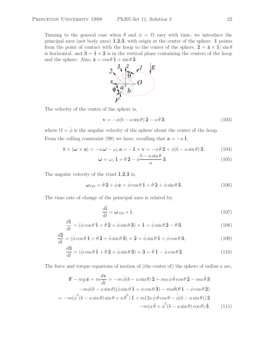Turning to the general case when  $\theta$  and  $\dot{\phi} = \Omega$  vary with time, we introduce the principal axes (not body axes)  $\hat{\mathbf{1}}$ ,  $\hat{\mathbf{2}}$ ,  $\hat{\mathbf{3}}$ , with origin at the center of the sphere.  $\hat{\mathbf{1}}$  points from the point of contact with the hoop to the center of the sphere,  $\hat{\mathbf{2}} = \hat{\mathbf{z}} \times \hat{\mathbf{1}} / \sin \theta$ is horizontal, and  $\hat{\mathbf{3}} = \hat{\mathbf{1}} \times \hat{\mathbf{2}}$  is in the vertical plane containing the centers of the hoop



The velocity of the center of the sphere is,

$$
\mathbf{v} = -\dot{\phi}(b - a\sin\theta)\,\hat{\mathbf{2}} - a\,\dot{\theta}\,\hat{\mathbf{3}}.\tag{103}
$$

where  $\Omega = \dot{\phi}$  is the angular velocity of the sphere about the center of the hoop. From the rolling constraint (99) we have, recalling that  $\mathbf{a} = -a\hat{\mathbf{1}}$ ,

$$
\mathbf{1} \times (\boldsymbol{\omega} \times \mathbf{a}) = -a\,\boldsymbol{\omega} - \omega_1\,\mathbf{a} = -\hat{\mathbf{1}} \times \mathbf{v} = -a\,\dot{\theta}\,\hat{\mathbf{2}} + \dot{\phi}(b - a\sin\theta)\,\hat{\mathbf{3}},\tag{104}
$$

$$
\omega = \omega_1 \hat{1} + \dot{\theta} \hat{2} - \dot{\phi} \frac{b - a \sin \theta}{a} \hat{3}.
$$
 (105)

The angular velocity of the triad  $\hat{\mathbf{1}}, \hat{\mathbf{2}}, \hat{\mathbf{3}}$  is,

$$
\omega_{123} = \dot{\theta}\,\hat{\mathbf{2}} + \dot{\phi}\,\hat{\mathbf{z}} = \dot{\phi}\cos\theta\,\hat{\mathbf{1}} + \dot{\theta}\,\hat{\mathbf{2}} + \dot{\phi}\sin\theta\,\hat{\mathbf{3}}.\tag{106}
$$

The time rate of change of the principal axes is related by,

$$
\frac{d\hat{\mathbf{i}}}{dt} = \boldsymbol{\omega}_{123} \times \hat{\mathbf{i}},\tag{107}
$$

$$
\frac{d\hat{1}}{dt} = (\dot{\phi}\cos\theta \,\hat{1} + \dot{\theta}\,\hat{2} + \dot{\phi}\sin\theta \,\hat{3}) \times \hat{1} = \dot{\phi}\sin\theta \,\hat{2} - \dot{\theta}\,\hat{3},\tag{108}
$$

$$
\frac{d\hat{\mathbf{2}}}{dt} = (\dot{\phi}\cos\theta\,\hat{\mathbf{1}} + \dot{\theta}\,\hat{\mathbf{2}} + \dot{\phi}\sin\theta\,\hat{\mathbf{3}}) \times \hat{\mathbf{2}} = \dot{\phi}\sin\theta\,\hat{\mathbf{1}} + \dot{\phi}\cos\theta\,\hat{\mathbf{3}},\tag{109}
$$

$$
\frac{d\hat{\mathbf{3}}}{dt} = (\dot{\phi}\cos\theta\,\hat{\mathbf{1}} + \dot{\theta}\,\hat{\mathbf{2}} + \dot{\phi}\sin\theta\,\hat{\mathbf{3}}) \times \hat{\mathbf{3}} = \dot{\theta}\,\hat{\mathbf{1}} - \dot{\phi}\cos\theta\,\hat{\mathbf{2}}.\tag{110}
$$

The force and torque equations of motion of (the center of) the sphere of radius a are,

$$
\mathbf{F} - mg\,\hat{\mathbf{z}} = m\frac{d\mathbf{v}}{dt} = -m\,\ddot{\phi}(b - a\sin\theta)\,\hat{\mathbf{2}} + ma\,\dot{\phi}\,\dot{\theta}\cos\theta\,\hat{\mathbf{2}} - ma\,\ddot{\theta}\,\hat{\mathbf{3}} -m\dot{\phi}(b - a\sin\theta)(\dot{\phi}\sin\theta\,\hat{\mathbf{1}} + \dot{\phi}\cos\theta\,\hat{\mathbf{3}}) - ma\dot{\theta}(\dot{\theta}\,\hat{\mathbf{1}} - \dot{\phi}\cos\theta\,\hat{\mathbf{2}}) = -m(\dot{\phi}^2(b - a\sin\theta)\sin\theta + a\,\dot{\theta}^2)\,\hat{\mathbf{1}} + m(2a\,\dot{\phi}\,\dot{\theta}\cos\theta - \ddot{\phi}(b - a\sin\theta))\,\hat{\mathbf{2}} -m(a\,\ddot{\theta} + \dot{\phi}^2(b - a\sin\theta)\cos\theta)\,\hat{\mathbf{3}}, \qquad (111)
$$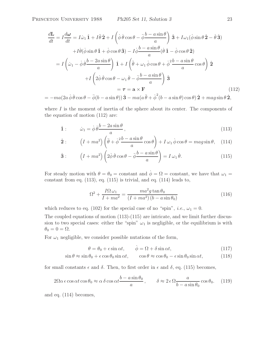$$
\frac{d\mathbf{L}}{dt} = I \frac{d\omega}{dt} = I \dot{\omega}_1 \hat{\mathbf{1}} + I \ddot{\theta} \hat{\mathbf{2}} + I \left( \dot{\phi} \dot{\theta} \cos \theta - \dot{\phi} \frac{b - a \sin \theta}{a} \right) \hat{\mathbf{3}} + I \omega_1 (\dot{\phi} \sin \theta \hat{\mathbf{2}} - \dot{\theta} \hat{\mathbf{3}})
$$
  
+  $I \dot{\theta} (\dot{\phi} \sin \theta \hat{\mathbf{1}} + \dot{\phi} \cos \theta \hat{\mathbf{3}}) - I \dot{\phi} \frac{b - a \sin \theta}{a} (\dot{\theta} \hat{\mathbf{1}} - \dot{\phi} \cos \theta \hat{\mathbf{2}})$   
=  $I \left( \dot{\omega}_1 - \dot{\phi} \frac{b - 2a \sin \theta}{a} \right) \hat{\mathbf{1}} + I \left( \ddot{\theta} + \omega_1 \dot{\phi} \cos \theta + \dot{\phi} \frac{b - a \sin \theta}{a} \cos \theta \right) \hat{\mathbf{2}}$   
+  $I \left( 2\dot{\phi} \dot{\theta} \cos \theta - \omega_1 \dot{\theta} - \ddot{\phi} \frac{b - a \sin \theta}{a} \right) \hat{\mathbf{3}}$   
=  $\boldsymbol{\tau} = \mathbf{a} \times \mathbf{F}$  (112)  
=  $-ma(2a \dot{\phi} \dot{\theta} \cos \theta - \ddot{\phi} (b - a \sin \theta)) \hat{\mathbf{3}} - ma(a \ddot{\theta} + \dot{\phi}^2 (b - a \sin \theta) \cos \theta) \hat{\mathbf{2}} + mag \sin \theta \hat{\mathbf{2}},$ 

where  $I$  is the moment of inertia of the sphere about its center. The components of the equation of motion (112) are:

$$
\hat{\mathbf{1}}: \qquad \dot{\omega}_1 = \dot{\phi}\,\dot{\theta}\frac{b - 2a\sin\theta}{a},\tag{113}
$$

$$
\hat{\mathbf{2}}: \qquad \left(I + ma^2\right) \left(\ddot{\theta} + \dot{\phi}^2 \frac{b - a\sin\theta}{a}\cos\theta\right) + I\,\omega_1 \,\dot{\phi}\cos\theta = mag\sin\theta,\quad(114)
$$

$$
\hat{\mathbf{3}}: \qquad \left(I + ma^2\right) \left(2\dot{\phi}\,\dot{\theta}\cos\theta - \ddot{\phi}\frac{b - a\sin\theta}{a}\right) = I\,\omega_1\,\dot{\theta}.\tag{115}
$$

For steady motion with  $\theta = \theta_0 = \text{constant}$  and  $\phi = \Omega = \text{constant}$ , we have that  $\omega_1 =$ constant from eq.  $(113)$ , eq.  $(115)$  is trivial, and eq.  $(114)$  leads to,

$$
\Omega^2 + \frac{I\Omega\omega_1}{I + ma^2} = \frac{ma^2g\tan\theta_0}{(I + ma^2)(b - a\sin\theta_0)}
$$
(116)

which reduces to eq. (102) for the special case of no "spin", *i.e.*,  $\omega_1 = 0$ .

The coupled equations of motion (113)-(115) are intricate, and we limit further discussion to two special cases: either the "spin"  $\omega_1$  is negligible, or the equilibrium is with  $\theta_0 = 0 = \Omega.$ 

For  $\omega_1$  negligible, we consider possible nutations of the form,

$$
\theta = \theta_0 + \epsilon \sin \alpha t, \qquad \dot{\phi} = \Omega + \delta \sin \alpha t, \tag{117}
$$

$$
\sin \theta \approx \sin \theta_0 + \epsilon \cos \theta_0 \sin \alpha t, \qquad \cos \theta \approx \cos \theta_0 - \epsilon \sin \theta_0 \sin \alpha t, \tag{118}
$$

for small constants  $\epsilon$  and  $\delta$ . Then, to first order in  $\epsilon$  and  $\delta$ , eq. (115) becomes,

$$
2\Omega\alpha \epsilon \cos \alpha t \cos \theta_0 \approx \alpha \delta \cos \alpha t \frac{b - a \sin \theta_0}{a}, \qquad \delta \approx 2 \epsilon \Omega \frac{a}{b - a \sin \theta_0} \cos \theta_0. \tag{119}
$$

and eq. (114) becomes,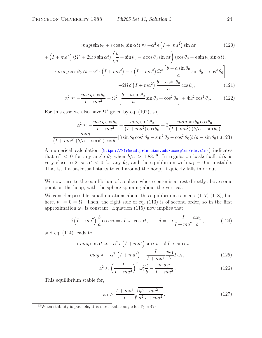$$
mag(\sin \theta_0 + \epsilon \cos \theta_0 \sin \alpha t) \approx -\alpha^2 \epsilon \left( I + ma^2 \right) \sin \alpha t \tag{120}
$$

$$
+\left(I+m a^2\right)\left(\Omega^2+2\Omega\,\delta\sin\alpha t\right)\left(\frac{b}{a}-\sin\theta_0-\epsilon\cos\theta_0\sin\alpha t\right)(\cos\theta_0-\epsilon\sin\theta_0\sin\alpha t),
$$

$$
\epsilon m a g \cos \theta_0 \approx -\alpha^2 \epsilon \left( I + m a^2 \right) - \epsilon \left( I + m a^2 \right) \Omega^2 \left[ \frac{b - a \sin \theta_0}{a} \sin \theta_0 + \cos^2 \theta_0 \right] + 2\Omega \delta \left( I + m a^2 \right) \frac{b - a \sin \theta_0}{a} \cos \theta_0, \tag{121}
$$

$$
\alpha^2 \approx -\frac{m \, a \, g \cos \theta_0}{I + m a^2} - \Omega^2 \left[ \frac{b - a \sin \theta_0}{a} \sin \theta_0 + \cos^2 \theta_0 \right] + 4\Omega^2 \cos^2 \theta_0. \tag{122}
$$

For this case we also have  $\Omega^2$  given by eq. (102), so,

$$
\alpha^2 \approx -\frac{m \, a \, g \cos \theta_0}{I + m a^2} - \frac{m \, a \, g \sin^2 \theta_0}{(I + m a^2) \cos \theta_0} + 3 \frac{m \, a \, g \sin \theta_0 \cos \theta_0}{(I + m a^2) \left(b/a - \sin \theta_0\right)}
$$

$$
= \frac{m \, a \, g \cos \theta_0}{(I + m a^2) \left(b/a - \sin \theta_0\right) \cos \theta_0} [3 \sin \theta_0 \cos^2 \theta_0 - \sin^2 \theta_0 - \cos^2 \theta_0 (b/a - \sin \theta_0)]. \tag{123}
$$

A numerical calculation (https://kirkmcd.princeton.edu/examples/rim.xlsx) indicates that  $\alpha^2$  < 0 for any angle  $\theta_0$  when  $b/a > 1.88^{13}$  In regulation basketball,  $b/a$  is very close to 2, so  $\alpha^2 < 0$  for any  $\theta_0$ , and the equilibrium with  $\omega_1 = 0$  is unstable. That is, if a basketball starts to roll around the hoop, it quickly falls in or out.

We now turn to the equilibrium of a sphere whose center is at rest directly above some point on the hoop, with the sphere spinning about the vertical.

We consider possible, small nutations about this equilibrium as in eqs.  $(117)-(118)$ , but here,  $\theta_0 = 0 = \Omega$ . Then, the right side of eq. (113) is of second order, so in the first approximation  $\omega_1$  is constant. Equation (115) now implies that,

$$
-\delta\left(I + ma^2\right)\frac{b}{a}\cos\alpha t = \epsilon I\,\omega_1\,\cos\alpha t, \qquad \delta = -\epsilon \frac{I}{I + ma^2}\frac{a\omega_1}{b},\tag{124}
$$

and eq. (114) leads to,

$$
\epsilon \, mag \sin \alpha t \approx -\alpha^2 \, \epsilon \left( I + ma^2 \right) \sin \alpha t + \delta \, I \, \omega_1 \sin \alpha t,
$$
\n
$$
mag \approx -\alpha^2 \left( I + ma^2 \right) - \frac{I}{I + ma^2} \frac{a\omega_1}{b} I \, \omega_1,\tag{125}
$$

$$
\alpha^2 \approx \left(\frac{I}{I + ma^2}\right)^2 \omega_1^2 \frac{a}{b} - \frac{ma g}{I + ma^2} \,. \tag{126}
$$

This equilibrium stable for,

$$
\omega_1 > \frac{I + ma^2}{I} \sqrt{\frac{gb - ma^2}{a^2 I + ma^2}}.
$$
\n(127)

<sup>&</sup>lt;sup>13</sup>When stability is possible, it is most stable angle for  $\theta_0 \approx 42^\circ$ .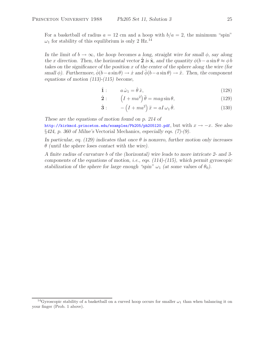For a basketball of radius  $a = 12$  cm and a hoop with  $b/a = 2$ , the minimum "spin"  $\omega_1$  for stability of this equilibrium is only 2 Hz.<sup>14</sup>

*In the limit of*  $b \to \infty$ *, the hoop becomes a long, straight wire for small*  $\phi$ *, say along the* x direction. Then, the horizontal vector  $\hat{\mathbf{2}}$  is  $\hat{\mathbf{x}}$ , and the quantity  $\phi(b-a\sin\theta \approx \phi b$ *takes on the significance of the position* x *of the center of the sphere along the wire (for small*  $\phi$ ). Furthermore,  $\dot{\phi}(b-a\sin\theta) \rightarrow \dot{x}$  *and*  $\ddot{\phi}(b-a\sin\theta) \rightarrow \ddot{x}$ . Then, the component *equations of motion (113)-(115) become,*

$$
\hat{\mathbf{1}}: \qquad a\,\dot{\omega}_1 = \dot{\theta}\,\dot{x},\tag{128}
$$
\n
$$
\hat{\mathbf{A}} = \begin{pmatrix} 1 & 0 & 0 \\ 0 & 0 & 0 \\ 0 & 0 & 0 \end{pmatrix} \tag{128}
$$

$$
\hat{\mathbf{2}}: \qquad \left(I + ma^2\right)\ddot{\theta} = mag\sin\theta,\tag{129}
$$

$$
\hat{\mathbf{3}}: \qquad -\left(I + ma^2\right)\ddot{x} = aI\,\omega_1\,\dot{\theta}.\tag{130}
$$

*These are the equations of motion found on p. 214 of*

http://kirkmcd.princeton.edu/examples/Ph205/ph205l20.pdf, but with x → −x. *See also* §*424, p. 360 of Milne's* Vectorial Mechanics*, especially eqs. (7)-(9).*

*In particular, eq. (129) indicates that once* θ *is nonzero, further motion only increases* θ *(until the sphere loses contact with the wire).*

*A finite radius of curvature* b *of the (horizontal) wire leads to more intricate 2- and 3 components of the equations of motion, i.e., eqs. (114)-(115), which permit gyroscopic stabilization of the sphere for large enough "spin"*  $\omega_1$  *(at some values of*  $\theta_0$ *).* 

<sup>&</sup>lt;sup>14</sup>Gyroscopic stability of a basketball on a curved hoop occurs for smaller  $\omega_1$  than when balancing it on your finger (Prob. 1 above).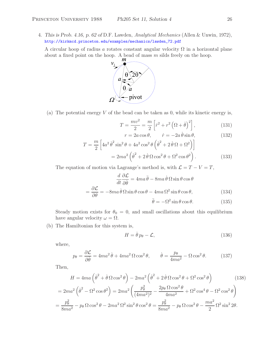4. *This is Prob. 4.16, p. 62 of* D.F. Lawden, *Analytical Mechanics* (Allen & Unwin, 1972), http://kirkmcd.princeton.edu/examples/mechanics/lawden\_72.pdf

A circular hoop of radius a rotates constant angular velocity  $\Omega$  in a horizontal plane about a fixed point on the hoop. A bead of mass  $m$  silds freely on the hoop.



(a) The potential energy  $V$  of the bead can be taken as 0, while its kinetic energy is,

$$
T = \frac{mv^2}{2} = \frac{m}{2} \left[ \dot{r}^2 + r^2 \left( \Omega + \dot{\theta} \right)^2 \right],\tag{131}
$$

$$
r = 2a\cos\theta, \qquad \dot{r} = -2a\,\dot{\theta}\sin\theta,\tag{132}
$$

$$
T = \frac{m}{2} \left[ 4a^2 \dot{\theta}^2 \sin^2 \theta + 4a^2 \cos^2 \theta \left( \dot{\theta}^2 + 2\dot{\theta} \Omega + \Omega^2 \right) \right]
$$
  
=  $2ma^2 \left( \dot{\theta}^2 + 2\dot{\theta} \Omega \cos^2 \theta + \Omega^2 \cos \theta^2 \right)$ . (133)

The equation of motion via Lagrange's method is, with  $\mathcal{L} = T - V = T$ ,

$$
\frac{d}{dt}\frac{\partial \mathcal{L}}{\partial \dot{\theta}} = 4ma\,\ddot{\theta} - 8ma\,\dot{\theta}\,\Omega\sin\theta\cos\theta
$$

$$
= \frac{\partial \mathcal{L}}{\partial \theta} = -8ma\,\dot{\theta}\,\Omega\sin\theta\cos\theta - 4ma\,\Omega^2\sin\theta\cos\theta,\tag{134}
$$

$$
\ddot{\theta} = -\Omega^2 \sin \theta \cos \theta. \tag{135}
$$

Steady motion exists for  $\theta_0 = 0$ , and small oscillations about this equilibrium have angular velocity  $\omega = \Omega$ .

(b) The Hamiltonian for this system is,

$$
H = \dot{\theta} p_{\theta} - \mathcal{L},\tag{136}
$$

where,

$$
p_{\theta} = \frac{\partial \mathcal{L}}{\partial \dot{\theta}} = 4ma^2 \dot{\theta} + 4ma^2 \Omega \cos^2 \theta, \qquad \dot{\theta} = \frac{p_{\theta}}{4ma^2} - \Omega \cos^2 \theta. \tag{137}
$$

Then,

$$
H = 4ma\left(\dot{\theta}^2 + \dot{\theta}\,\Omega\cos^2\theta\right) - 2ma^2\left(\dot{\theta}^2 + 2\,\dot{\theta}\,\Omega\cos^2\theta + \Omega^2\cos^2\theta\right) \tag{138}
$$

$$
= 2ma^2\left(\dot{\theta}^2 - \Omega^2\cos\theta^2\right) = 2ma^2\left(\frac{p_\theta^2}{(4ma^2)^2} - \frac{2p_\theta\,\Omega\cos^2\theta}{4ma^2} + \Omega^2\cos^4\theta - \Omega^2\cos^2\theta\right)
$$

$$
= \frac{p_\theta^2}{8ma^2} - p_\theta\,\Omega\cos^2\theta - 2ma^2\,\Omega^2\sin^2\theta\cos^2\theta = \frac{p_\theta^2}{8ma^2} - p_\theta\,\Omega\cos^2\theta - \frac{ma^2}{2}\,\Omega^2\sin^22\theta.
$$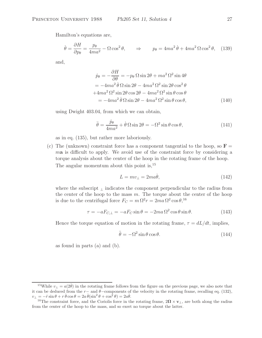Hamilton's equations are,

$$
\dot{\theta} = \frac{\partial H}{\partial p_{\theta}} = \frac{p_{\theta}}{4ma^2} - \Omega \cos^2 \theta, \qquad \Rightarrow \qquad p_{\theta} = 4ma^2 \dot{\theta} + 4ma^2 \Omega \cos^2 \theta, \quad (139)
$$

and,

$$
\dot{p}_{\theta} = -\frac{\partial H}{\partial \theta} = -p_{\theta} \Omega \sin 2\theta + ma^2 \Omega^2 \sin 4\theta
$$
  
=  $-4ma^2 \dot{\theta} \Omega \sin 2\theta - 4ma^2 \Omega^2 \sin 2\theta \cos^2 \theta$   
 $+4ma^2 \Omega^2 \sin 2\theta \cos 2\theta - 4ma^2 \Omega^2 \sin \theta \cos \theta$   
=  $-4ma^2 \dot{\theta} \Omega \sin 2\theta - 4ma^2 \Omega^2 \sin \theta \cos \theta,$  (140)

using Dwight 403.04, from which we can obtain,

$$
\ddot{\theta} = \frac{\dot{p}_{\theta}}{4ma^2} + \dot{\theta}\,\Omega\sin 2\theta = -\Omega^2\sin\theta\cos\theta,\qquad(141)
$$

as in eq. (135), but rather more laboriously.

(c) The (unknown) constraint force has a component tangential to the hoop, so  $\mathbf{F} =$ <sup>m</sup>**a** is difficult to apply. We avoid use of the constraint force by considering a torque analysis about the center of the hoop in the rotating frame of the hoop. The angular momentum about this point is,<sup>15</sup>

$$
L = mv_{\perp} = 2ma\dot{\theta},\tag{142}
$$

where the subscript  $\perp$  indicates the component perpendicular to the radius from the center of the hoop to the mass  $m$ . The torque about the center of the hoop is due to the centrifugal force  $F_C = m \Omega^2 r = 2ma \Omega^2 \cos \theta$ , <sup>16</sup>

$$
\tau = -aF_{C,\perp} = -aF_C \sin \theta = -2ma \Omega^2 \cos \theta \sin \theta.
$$
 (143)

Hence the torque equation of motion in the rotating frame,  $\tau = dL/dt$ , implies,

$$
\ddot{\theta} = -\Omega^2 \sin \theta \cos \theta. \tag{144}
$$

as found in parts (a) and (b).

<sup>&</sup>lt;sup>15</sup>While  $v_{\perp} = a(2\dot{\theta})$  in the rotating frame follows from the figure on the previous page, we also note that  $v_{\perp}$  is the rotating frame recalling eq. (132) it can be deduced from the r− and  $\theta$ –components of the velocity in the rotating frame, recalling eq. (132),  $v_{\perp} = -\dot{r} \sin \theta + r \dot{\theta} \cos \theta = 2a \dot{\theta} (\sin^2 \theta + \cos^2 \theta) = 2a \dot{\theta}$ <br><sup>16</sup>The constraint force, and the Coriolis force in t

<sup>&</sup>lt;sup>16</sup>The constraint force, and the Coriolis force in the rotating frame,  $2\Omega \times v_{\perp}$ , are both along the radius from the center of the hoop to the mass, and so exert no torque about the latter.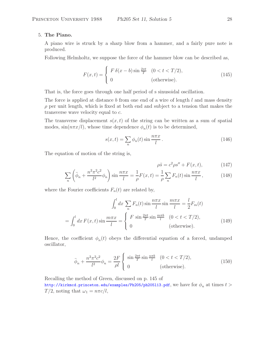# 5. **The Piano.**

A piano wire is struck by a sharp blow from a hammer, and a fairly pure note is produced.

Following Helmholtz, we suppose the force of the hammer blow can be described as,

$$
F(x,t) = \begin{cases} F \delta(x-b) \sin \frac{2\pi t}{T} & (0 < t < T/2), \\ 0 & \text{(otherwise)}. \end{cases}
$$
(145)

That is, the force goes through one half period of s sinusoidal oscillation.

The force is applied at distance b from one end of a wire of length  $l$  and mass density  $\rho$  per unit length, which is fixed at both end and subject to a tension that makes the transverse wave velocity equal to c.

The transverse displacement  $s(x, t)$  of the string can be written as a sum of spatial modes,  $\sin(n\pi x/l)$ , whose time dependence  $\phi_n(t)$  is to be determined,

$$
s(x,t) = \sum_{n} \phi_n(t) \sin \frac{n\pi x}{l} \,. \tag{146}
$$

The equation of motion of the string is,

$$
\rho \ddot{s} = c^2 \rho s'' + F(x, t), \qquad (147)
$$

$$
\sum_{n} \left( \ddot{\phi}_{n} + \frac{n^{2} \pi^{2} c^{2}}{l^{2}} \phi_{n} \right) \sin \frac{n \pi x}{l} = -\frac{1}{\rho} F(x, t) = -\frac{1}{\rho} \sum_{n} F_{n}(t) \sin \frac{n \pi x}{l}, \tag{148}
$$

where the Fourier coefficients  $F_n(t)$  are related by,

$$
\int_0^l dx \sum_n F_n(t) \sin \frac{n\pi x}{l} \sin \frac{m\pi x}{l} = \frac{l}{2} F_m(t)
$$

$$
= \int_0^l dx F(x, t) \sin \frac{m\pi x}{l} = \begin{cases} F \sin \frac{2\pi t}{T} \sin \frac{m\pi b}{l} & (0 < t < T/2), \\ 0 & \text{(otherwise)}. \end{cases}
$$
(149)

Hence, the coefficient  $\phi_n(t)$  obeys the differential equation of a forced, undamped oscillator,

$$
\ddot{\phi}_n + \frac{n^2 \pi^2 c^2}{l^2} \phi_n = \frac{2F}{\rho l} \begin{cases} \sin \frac{2\pi t}{T} \sin \frac{n\pi b}{l} & (0 < t < T/2), \\ 0 & \text{(otherwise)}. \end{cases}
$$
(150)

Recalling the method of Green, discussed on p. 145 of http://kirkmcd.princeton.edu/examples/Ph205/ph205113.pdf, we have for  $\phi_n$  at times  $t >$  $T/2$ , noting that  $\omega_1 = n\pi c/l$ ,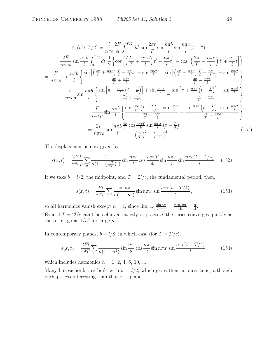$$
\phi_n(t > T/2) = \frac{l}{n\pi c} \frac{2F}{\rho l} \int_0^{T/2} dt' \sin\frac{2\pi t}{T} \sin\frac{n\pi b}{l} \sin\frac{n\pi c}{l} (t - t')
$$
  
\n
$$
= \frac{2F}{n\pi c\rho} \sin\frac{n\pi b}{l} \int_0^{T/2} dt' \frac{1}{2} \left\{ \cos\left[\left(\frac{2\pi}{T} + \frac{n\pi c}{l}\right)t' - \frac{n\pi}{l}t\right] - \cos\left[\left(\frac{2\pi}{T} - \frac{n\pi c}{l}\right)t' + \frac{n\pi}{l}t\right] \right\}
$$
  
\n
$$
= \frac{F}{n\pi c\rho} \sin\frac{n\pi b}{l} \left\{ \frac{\sin\left[\left(\frac{2\pi}{T} + \frac{n\pi c}{l}\right)\frac{T}{2} - \frac{n\pi}{l}t\right] + \sin\frac{n\pi ct}{l}}{-\frac{2\pi}{T} + \frac{n\pi c}{l}} - \frac{\sin\left[\left(\frac{2\pi}{T} - \frac{n\pi c}{l}\right)\frac{T}{2} + \frac{n\pi}{l}t\right] - \sin\frac{n\pi ct}{l}}{-\frac{2\pi}{T} - \frac{n\pi c}{l}} \right\}
$$
  
\n
$$
= \frac{F}{n\pi c\rho} \sin\frac{n\pi b}{l} \left\{ \frac{\sin\left[\pi - \frac{n\pi c}{l}\left(t - \frac{T}{2}\right)\right] + \sin\frac{n\pi ct}{l}}{-\frac{2\pi}{T} + \frac{n\pi c}{l}} - \frac{\sin\left[\pi + \frac{n\pi c}{l}\left(t - \frac{T}{2}\right)\right] - \sin\frac{n\pi ct}{l}}{-\frac{2\pi}{T} - \frac{n\pi c}{l}} \right\}
$$
  
\n
$$
= \frac{F}{n\pi c\rho} \sin\frac{n\pi b}{l} \left\{ \frac{\sin\frac{n\pi c}{l}\left(t - \frac{T}{2}\right) + \sin\frac{n\pi ct}{l}}{-\frac{2\pi}{T} + \frac{n\pi c}{l}} + \frac{\sin\frac{n\pi c}{l}\left(t - \frac{T}{2}\right) + \sin\frac{n\pi ct}{l}}{-\frac{2\pi}{T} - \frac{n\pi c}{l}} \right\}
$$
  
\n $$ 

The displacement is now given by,

$$
s(x,t) = \frac{2FT}{\pi^2 c \rho} \sum_{n} \frac{1}{n(1 - (\frac{ncT}{2l})^2)} \sin \frac{n\pi b}{l} \cos \frac{n\pi c}{l} \sin \frac{n\pi x}{l} \sin \frac{n\pi c(t - T/4)}{l}.
$$
 (152)

If we take  $b = l/2$ , the midpoint, and  $T = 2l/c$ , the fundamental period, then,

$$
s(x,t) = \frac{Fl}{\pi^2 T} \sum_{n} \frac{\sin n\pi}{n(1-n^2)} \sin n\pi x \sin \frac{n\pi c(t-T/4)}{l},
$$
 (153)

so all harmonics vanish except  $n = 1$ , since  $\lim_{n \to 1} \frac{\sin n\pi}{1 - n^2} = \frac{\pi \cos n\pi}{-2n} = \frac{\pi}{2}$ . Even if  $T = 2l/c$  can't be achieved exactly in practice, the series converges quickly as the terms go as  $1/n^3$  for large *n*.

In contemporary pianos,  $b = l/8$ , in which case (for  $T = 2l/c$ ),

$$
s(x,t) = \frac{2Fl}{\pi^2 T} \sum_{n} \frac{1}{n(1-n^2)} \sin \frac{n\pi}{8} \cos \frac{n\pi}{2} \sin n\pi x \sin \frac{n\pi c(t-T/4)}{l},
$$
 (154)

which includes harmonics  $n = 1, 2, 4, 6, 10, \ldots$ 

Many harpsichords are built with  $b = l/2$ , which gives them a purer tone, although perhaps less interesting than that of a piano.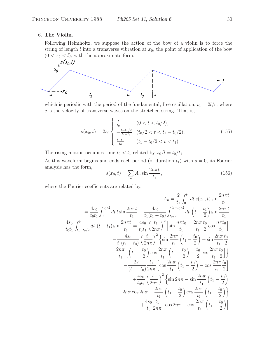## 6. **The Violin.**

Following Helmholtz, we suppose the action of the bow of a violin is to force the string of length l into a transverse vibration at  $x_0$ , the point of application of the bow  $(0 < x_0 < l)$ , with the approximate form,



which is periodic with the period of the fundamental, free oscillation,  $t_1 = 2l/c$ , where  $c$  is the velocity of transverse waves on the stretched string. That is,

$$
s(x_0, t) = 2s_0 \begin{cases} \frac{t}{t_0} & (0 < t < t_0/2), \\ -\frac{t - t_1/2}{t_1 - t_0} & (t_0/2 < t < t_1 - t_0/2), \\ \frac{t - t_1}{t_0} & (t_1 - t_0/2 < t < t_1). \end{cases} \tag{155}
$$

The rising motion occupies time  $t_0 < t_1$  related by  $x_0/l = t_0/t_1$ .

As this waveform begins and ends each period (of duration  $t_1$ ) with  $s = 0$ , its Fourier analysis has the form,

$$
s(x_0, t) = \sum_{n} A_n \sin \frac{2n\pi t}{t_1},
$$
\n(156)

where the Fourier coefficients are related by,

$$
A_{n} = \frac{2}{t_{1}} \int_{0}^{t_{1}} dt \, s(x_{0}, t) \sin \frac{2n\pi t}{t_{1}}
$$
  
\n
$$
= \frac{4s_{0}}{t_{0}t_{1}} \int_{0}^{t_{0}/2} dt \, t \sin \frac{2n\pi t}{t_{1}} - \frac{4s_{0}}{t_{1}(t_{1}-t_{0})} \int_{t_{0}/2}^{t_{1}-t_{0}/2} dt \, \left(t - \frac{t_{1}}{2}\right) \sin \frac{2n\pi t}{t_{1}}
$$
  
\n
$$
+ \frac{4s_{0}}{t_{0}t_{1}} \int_{t_{1}-t_{0}/2}^{t_{1}} dt \, (t - t_{1}) \sin \frac{2n\pi t}{t_{1}} = \frac{4s_{0}}{t_{0}t_{1}} \left(\frac{t_{1}}{2n\pi}\right)^{2} \left[\sin \frac{n\pi t_{0}}{t_{1}} - \frac{2n\pi}{t_{1}} \frac{t_{0}}{2} \cos \frac{n\pi t_{0}}{t_{1}}\right]
$$
  
\n
$$
- \frac{4s_{0}}{t_{1}(t_{1}-t_{0})} \left(\frac{t_{1}}{2n\pi}\right)^{2} \left\{\sin \frac{2n\pi}{t_{1}} \left(t_{1} - \frac{t_{0}}{2}\right) - \sin \frac{2n\pi}{t_{1}} \frac{t_{0}}{2}\right\}
$$
  
\n
$$
- \frac{2n\pi}{t_{1}} \left[\left(t_{1} - \frac{t_{0}}{2}\right) \cos \frac{2n\pi}{t_{1}} \left(t_{1} - \frac{t_{0}}{2}\right) - \frac{t_{0}}{2} \cos \frac{2n\pi}{t_{1}} \frac{t_{0}}{2}\right] \right\}
$$
  
\n
$$
+ \frac{4s_{0}}{t_{0}t_{1}} \left(\frac{t_{1}}{2n\pi}\right)^{2} \left\{\sin 2n\pi - \sin \frac{2n\pi}{t_{1}} \left(t_{1} - \frac{t_{0}}{2}\right) \right\}
$$
  
\n
$$
- 2n\pi \cos 2n\pi + \frac{2n\pi}{t_{1}} \left(t_{1} - \frac{t_{0}}{2}\right) \cos \frac{2n\pi}{t_{1
$$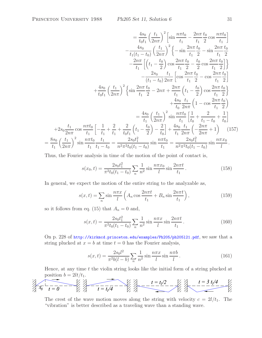$$
= \frac{4s_0}{t_0 t_1} \left(\frac{t_1}{2n\pi}\right)^2 \left[\sin\frac{n\pi t_0}{t_1} - \frac{2n\pi}{t_1} \frac{t_0}{2}\cos\frac{n\pi t_0}{t_1}\right]
$$

$$
- \frac{4s_0}{t_1(t_1 - t_0)} \left(\frac{t_1}{2n\pi}\right)^2 \left\{-\sin\frac{2n\pi}{t_1} \frac{t_0}{2} - \sin\frac{2n\pi}{t_1} \frac{t_0}{2}\right]
$$

$$
- \frac{2n\pi}{t_1} \left[\left(t_1 - \frac{t_0}{2}\right)\cos\frac{2n\pi}{t_1} \frac{t_0}{2} - \frac{t_0}{2}\cos\frac{2n\pi}{t_1} \frac{t_0}{2}\right]
$$

$$
- \frac{2s_0}{(t_1 - t_0)} \frac{t_1}{2n\pi} \left[\cos\frac{2n\pi}{t_1} \frac{t_0}{2} - \cos\frac{2n\pi}{t_1} \frac{t_0}{2}\right]
$$

$$
+ \frac{4s_0}{t_0 t_1} \left(\frac{t_1}{2n\pi}\right)^2 \left\{\sin\frac{2n\pi}{t_1} \frac{t_0}{2} - 2n\pi + \frac{2n\pi}{t_1} \left(t_1 - \frac{t_0}{2}\right)\cos\frac{2n\pi}{t_1} \frac{t_0}{2}\right\}
$$

$$
+ \frac{4s_0}{t_0} \frac{t_1}{2n\pi} \left(1 - \cos\frac{2n\pi}{t_1} \frac{t_0}{2}\right)
$$

$$
= \frac{4s_0}{t_1} \left(\frac{t_1}{2n\pi}\right)^2 \sin\frac{n\pi t_0}{t_1} \left[\frac{1}{t_0} + \frac{2}{t_1 - t_0} + \frac{1}{t_0}\right]
$$

$$
+ 2s_0 \frac{t_1}{2n\pi} \cos\frac{n\pi t_0}{t_1} \left[-\frac{1}{t_1} + \frac{2}{t_1} + \frac{2}{t_0 t_1} \left(t_1 - \frac{t_0}{2}\right) - \frac{2}{t_0}\right] + \frac{4s_0}{
$$

Thus, the Fourier analysis in time of the motion of the point of contact is,

$$
s(x_0, t) = \frac{2s_0 t_1^2}{\pi^2 t_0 (t_1 - t_0)} \sum_n \frac{1}{n^2} \sin \frac{n \pi x_0}{l} \sin \frac{2n \pi t}{t_1}.
$$
 (158)

In general, we expect the motion of the entire string to the analyzable as,

$$
s(x,t) = \sum_{n} \sin \frac{n\pi x}{l} \left( A_n \cos \frac{2n\pi t}{t_1} + B_n \sin \frac{2n\pi t}{t_1} \right),\tag{159}
$$

so it follows from eq. (15) that  $A_n = 0$  and,

$$
s(x,t) = \frac{2s_0 t_1^2}{\pi^2 t_0 (t_1 - t_0)} \sum_n \frac{1}{n^2} \sin \frac{n\pi x}{l} \sin \frac{2n\pi t}{t_1}.
$$
 (160)

On p. 228 of http://kirkmcd.princeton.edu/examples/Ph205/ph205l21.pdf, we saw that a string plucked at  $x = b$  at time  $t = 0$  has the Fourier analysis,

$$
s(x,t) = \frac{2s_0 l^2}{\pi^2 b(l-b)} \sum_n \frac{1}{n^2} \sin \frac{n\pi x}{l} \sin \frac{n\pi b}{l}.
$$
 (161)

Hence, at any time  $t$  the violin string looks like the initial form of a string plucked at position  $b = 2lt/t_1$ .

$$
\frac{t}{\sqrt[3]{x_0}-\frac{t}{t=0}} = \frac{t-t_1/2}{t-t_1/4} - \frac{t-t_1/2}{t_1/4} - \frac{t-t_1/2}{t_1/4} - \frac{t-3}{t_1/4} - \frac{t_1/4}{t_1/4} - \frac{t_1/4}{t_1/4} - \frac{t_1/4}{t_1/4} - \frac{t_1/4}{t_1/4} - \frac{t_1/4}{t_1/4} - \frac{t_1/4}{t_1/4} - \frac{t_1/4}{t_1/4} - \frac{t_1/4}{t_1/4} - \frac{t_1/4}{t_1/4} - \frac{t_1/4}{t_1/4} - \frac{t_1/4}{t_1/4} - \frac{t_1/4}{t_1/4} - \frac{t_1/4}{t_1/4} - \frac{t_1/4}{t_1/4} - \frac{t_1/4}{t_1/4} - \frac{t_1/4}{t_1/4} - \frac{t_1/4}{t_1/4} - \frac{t_1/4}{t_1/4} - \frac{t_1/4}{t_1/4} - \frac{t_1/4}{t_1/4} - \frac{t_1/4}{t_1/4} - \frac{t_1/4}{t_1/4} - \frac{t_1/4}{t_1/4} - \frac{t_1/4}{t_1/4} - \frac{t_1/4}{t_1/4} - \frac{t_1/4}{t_1/4} - \frac{t_1/4}{t_1/4} - \frac{t_1/4}{t_1/4} - \frac{t_1/4}{t_1/4} - \frac{t_1/4}{t_1/4} - \frac{t_1/4}{t_1/4} - \frac{t_1/4}{t_1/4} - \frac{t_1/4}{t_1/4} - \frac{t_1/4}{t_1/4} - \frac{t_1/4}{t_1/4} - \frac{t_1/4}{t_1/4} - \frac{t_1/4}{t_1/4} - \frac{t_1/4}{t_1/4} - \frac{t_1/4}{t_1/4} - \frac{t_1/4}{t_1/4} - \frac{t_1/4}{t_1/4} - \frac{t_1/4}{t_1/4
$$

The crest of the wave motion moves along the string with velocity  $c = 2l/t_1$ . The "vibration" is better described as a traveling wave than a standing wave.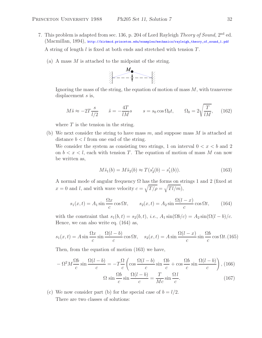- 7. This problem is adapted from sec. 136, p. 204 of Lord Rayleigh *Theory of Sound*, 2nd ed. (Macmillan, 1894), http://kirkmcd.princeton.edu/examples/mechanics/rayleigh\_theory\_of\_sound\_1.pdf A string of length  $l$  is fixed at both ends and stretched with tension  $T$ .
	- (a) A mass  $M$  is attached to the midpoint of the string.



Ignoring the mass of the string, the equation of motion of mass  $M$ , with transverse displacement s is,

$$
M\ddot{s} \approx -2T\frac{s}{l/2} \qquad \ddot{s} = -\frac{4T}{lM}s \qquad s = s_0 \cos \Omega_0 t, \qquad \Omega_0 = 2\sqrt{\frac{T}{lM}}, \qquad (162)
$$

where  $T$  is the tension in the string.

(b) We next consider the string to have mass  $m$ , and suppose mass  $M$  is attached at distance  $b < l$  from one end of the string.

We consider the system as consisting two strings, 1 on interval  $0 < x < b$  and 2 on  $b < x < l$ , each with tension T. The equation of motion of mass M can now be written as,

$$
M\ddot{s}_1(b) = M\ddot{s}_2(b) \approx T(s_2'(b) - s_1'(b)).\tag{163}
$$

A normal mode of angular frequency  $\Omega$  has the forms on strings 1 and 2 (fixed at  $x = 0$  and l, and with wave velocity  $c = \sqrt{T/\rho} = \sqrt{Tl/m}$ ,

$$
s_1(x,t) = A_1 \sin \frac{\Omega x}{c} \cos \Omega t, \qquad s_2(x,t) = A_2 \sin \frac{\Omega (l-x)}{c} \cos \Omega t,\tag{164}
$$

with the constraint that  $s_1(b, t) = s_2(b, t)$ , *i.e.*,  $A_1 \sin(\Omega b/c) = A_2 \sin(\Omega (l - b)/c$ . Hence, we can also write eq. (164) as,

$$
s_1(x,t) = A \sin \frac{\Omega x}{c} \sin \frac{\Omega (l-b)}{c} \cos \Omega t, \quad s_2(x,t) = A \sin \frac{\Omega (l-x)}{c} \sin \frac{\Omega b}{c} \cos \Omega t. \tag{165}
$$

Then, from the equation of motion (163) we have,

$$
-\Omega^2 M \frac{\Omega b}{c} \sin \frac{\Omega (l-b)}{c} = -T \frac{\Omega}{c} \left( \cos \frac{\Omega (l-b)}{c} \sin \frac{\Omega b}{c} + \cos \frac{\Omega b}{c} \sin \frac{\Omega (l-b)}{c} \right), (166)
$$

$$
\Omega \sin \frac{\Omega b}{c} \sin \frac{\Omega (l-b)}{c} = \frac{T}{Mc} \sin \frac{\Omega l}{c}.
$$

(c) We now consider part (b) for the special case of  $b = l/2$ . There are two classes of solutions: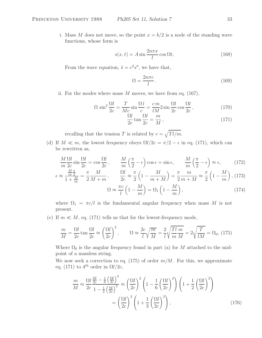i. Mass M does not move, so the point  $x = b/2$  is a node of the standing wave functions, whose form is

$$
s(x,t) = A \sin \frac{2n\pi x}{l} \cos \Omega t, \qquad (168)
$$

From the wave equation,  $\ddot{s} = c^2 s''$ , we have that,

$$
\Omega = \frac{2n\pi c}{l} \,. \tag{169}
$$

ii. For the modes where mass  $M$  moves, we have from eq. (167),

$$
\Omega \sin^2 \frac{\Omega l}{2c} = \frac{T}{Mc} \sin \frac{\Omega l}{c} = \frac{cm}{lM} 2 \sin \frac{\Omega l}{2c} \cos \frac{\Omega l}{2c},\tag{170}
$$

$$
\frac{\Omega l}{2c} \tan \frac{\Omega l}{2c} = \frac{m}{M},\qquad(171)
$$

recalling that the tension T is related by  $c = \sqrt{Tl/m}$ .

(d) If  $M \ll m$ , the lowest frequency obeys  $\Omega l/2c = \pi/2 - \epsilon$  in eq. (171), which can be rewritten as,

$$
\frac{M}{m}\frac{\Omega l}{2c}\sin\frac{\Omega l}{2c} = \cos\frac{\Omega l}{2c}, \qquad \frac{M}{m}\left(\frac{\pi}{2} - \epsilon\right)\cos\epsilon = \sin\epsilon, \qquad \frac{M}{m}\left(\frac{\pi}{2} - \epsilon\right) \approx \epsilon, \qquad (172)
$$

$$
\epsilon \approx \frac{\frac{M\pi}{m\,2}}{1 + \frac{M}{m}} = \frac{\pi}{2} \frac{M}{M + m}, \qquad \frac{\Omega l}{2c} \approx \frac{\pi}{2} \left( 1 - \frac{M}{m + M} \right) = \frac{\pi}{2} \frac{m}{m + M} \approx \frac{\pi}{2} \left( 1 - \frac{M}{m} \right), \tag{173}
$$

$$
\Omega \approx \frac{\pi c}{l} \left( 1 - \frac{M}{m} \right) = \Omega_1 \left( 1 - \frac{M}{m} \right),\tag{174}
$$

where  $\Omega_1 = \pi c/l$  is the fundamental angular frequency when mass M is not present.

(e) If  $m \ll M$ , eq. (171) tells us that for the lowest-frequency mode,

$$
\frac{m}{M} = \frac{\Omega l}{2c} \tan \frac{\Omega l}{2c} \approx \left(\frac{\Omega l}{2c}\right)^2, \qquad \Omega \approx \frac{2c}{l} \sqrt{\frac{m}{M}} = \frac{2}{l} \sqrt{\frac{Tl}{m} \frac{m}{M}} = 2 \sqrt{\frac{T}{lM}} = \Omega_0, (175)
$$

Where  $\Omega_0$  is the angular frequency found in part (a) for M attached to the midpoint of a massless string.

We now seek a correction to eq. (175) of order  $m/M$ . For this, we approximate eq. (171) to  $4^{\text{th}}$  order in  $\Omega l/2c$ ,

$$
\frac{m}{M} \approx \frac{\Omega l}{2c} \frac{\frac{\Omega l}{2c} - \frac{1}{6} \left(\frac{\Omega l}{2c}\right)^3}{1 - \frac{1}{2} \left(\frac{\Omega l}{2c}\right)^2} \approx \left(\frac{\Omega l}{2c}\right)^2 \left(1 - \frac{1}{6} \left(\frac{\Omega l}{2c}\right)^2\right) \left(1 + \frac{1}{2} \left(\frac{\Omega l}{2c}\right)^2\right)
$$

$$
= \left(\frac{\Omega l}{2c}\right)^2 \left(1 + \frac{1}{3} \left(\frac{\Omega l}{2c}\right)^2\right),\tag{176}
$$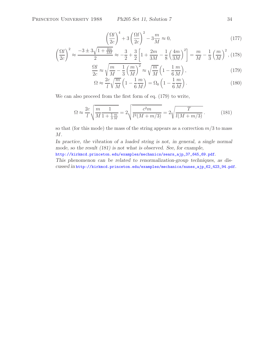$$
\left(\frac{\Omega l}{2c}\right)^4 + 3\left(\frac{\Omega l}{2c}\right)^2 - 3\frac{m}{M} \approx 0,\tag{177}
$$

$$
\left(\frac{\Omega l}{2c}\right)^2 \approx \frac{-3 \pm 3\sqrt{1 + \frac{4m}{3M}}}{2} \approx -\frac{3}{2} + \frac{3}{2} \left[1 + \frac{2m}{3M} - \frac{1}{8} \left(\frac{4m}{3M}\right)^2\right] = \frac{m}{M} - \frac{1}{3} \left(\frac{m}{M}\right)^2, (178)
$$

$$
\frac{\Omega l}{2c} \approx \sqrt{\frac{m}{M} - \frac{1}{3} \left(\frac{m}{M}\right)^2} \approx \sqrt{\frac{m}{M}} \left(1 - \frac{1}{6} \frac{m}{M}\right),\tag{179}
$$

$$
\Omega \approx \frac{2c}{l} \sqrt{\frac{m}{M}} \left( 1 - \frac{1}{6} \frac{m}{M} \right) = \Omega_0 \left( 1 - \frac{1}{6} \frac{m}{M} \right). \tag{180}
$$

We can also proceed from the first form of eq. (179) to write,

$$
\Omega \approx \frac{2c}{l} \sqrt{\frac{m}{M} \frac{1}{1 + \frac{1}{3} \frac{m}{M}}} = 2 \sqrt{\frac{c^2 m}{l^2 (M + m/3)}} = 2 \sqrt{\frac{T}{l (M + m/3)}}. \tag{181}
$$

so that (for this mode) the mass of the string appears as a correction  $m/3$  to mass  $M$ .

*In practice, the vibration of a loaded string is not, in general, a single normal mode, so the result (181) is not what is observed. See, for example,*

http://kirkmcd.princeton.edu/examples/mechanics/sears\_ajp\_37\_645\_69.pdf. *This phenomenon can be related to renormalization-group techniques, as discussed in* http://kirkmcd.princeton.edu/examples/mechanics/nunes\_ajp\_62\_423\_94.pdf.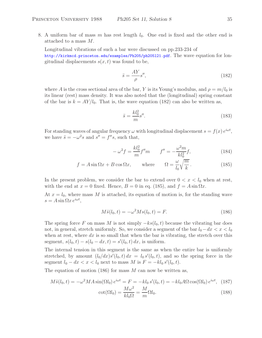8. A uniform bar of mass m has rest length  $l_0$ . One end is fixed and the other end is attached to a mass M.

Longitudinal vibrations of such a bar were discussed on pp.233-234 of http://kirkmcd.princeton.edu/examples/Ph205/ph205l21.pdf. The wave equation for longitudinal displacements  $s(x, t)$  was found to be,

$$
\ddot{s} = \frac{AY}{\rho} s'',\tag{182}
$$

where A is the cross sectional area of the bar, Y is its Young's modulus, and  $\rho = m/l_0$  is its linear (rest) mass density. It was also noted that the (longitudinal) spring constant of the bar is  $k = AY/l_0$ . That is, the wave equation (182) can also be written as,

$$
\ddot{s} = \frac{kl_0^2}{m} s''.
$$
\n(183)

For standing waves of angular frequency  $\omega$  with longitudinal displacement  $s = f(x) e^{i\omega t}$ , we have  $\ddot{s} = -\omega^2 s$  and  $s'' = f''s$ , such that,

$$
-\omega^2 f = \frac{k l_0^2}{m} f'' m \qquad f'' = -\frac{\omega^2 m}{k l_0^2} f,
$$
 (184)

$$
f = A\sin\Omega x + B\cos\Omega x, \qquad \text{where} \qquad \Omega = \frac{\omega}{l_0} \sqrt{\frac{m}{k}}. \tag{185}
$$

In the present problem, we consider the bar to extend over  $0 < x < l_0$  when at rest, with the end at  $x = 0$  fixed. Hence,  $B = 0$  in eq. (185), and  $f = A \sin \Omega x$ .

At  $x = l_0$ , where mass M is attached, its equation of motion is, for the standing wave  $s = A \sin \Omega x e^{i\omega t},$ 

$$
M\ddot{s}(l_0, t) = -\omega^2 M s(l_0, t) = F.
$$
\n(186)

The spring force F on mass M is not simply  $-ks(l_0, t)$  because the vibrating bar does not, in general, stretch uniformly. So, we consider a segment of the bar  $l_0-dx < x < l_0$ when at rest, where  $dx$  is so small that when the bar is vibrating, the stretch over this segment,  $s(l_0, t) - s(l_0 - dx, t) = s'(l_0, t) dx$ , is uniform.

The internal tension in this segment is the same as when the entire bar is uniformly stretched, by amount  $(l_0/dx)s'(l_0,t) dx = l_0 s'(l_0,t)$ , and so the spring force in the segment  $l_0 - dx < x < l_0$  next to mass M is  $F = -k l_0 s' (l_0, t)$ .

The equation of motion (186) for mass  $M$  can now be written as,

$$
M\ddot{s}(l_0, t) = -\omega^2 MA \sin(\Omega l_0) e^{i\omega t} = F = -kl_0 s'(l_0, t) = -kl_0 A \Omega \cos(\Omega l_0) e^{i\omega t}, \quad (187)
$$

$$
\cot(\Omega l_0) = \frac{M\omega^2}{l_0} = \frac{M}{\Omega l_0}.
$$
(188)

$$
\cot(\Omega l_0) = \frac{M\omega^2}{kl_0\Omega} = \frac{M}{m}\Omega l_0.
$$
\n(188)